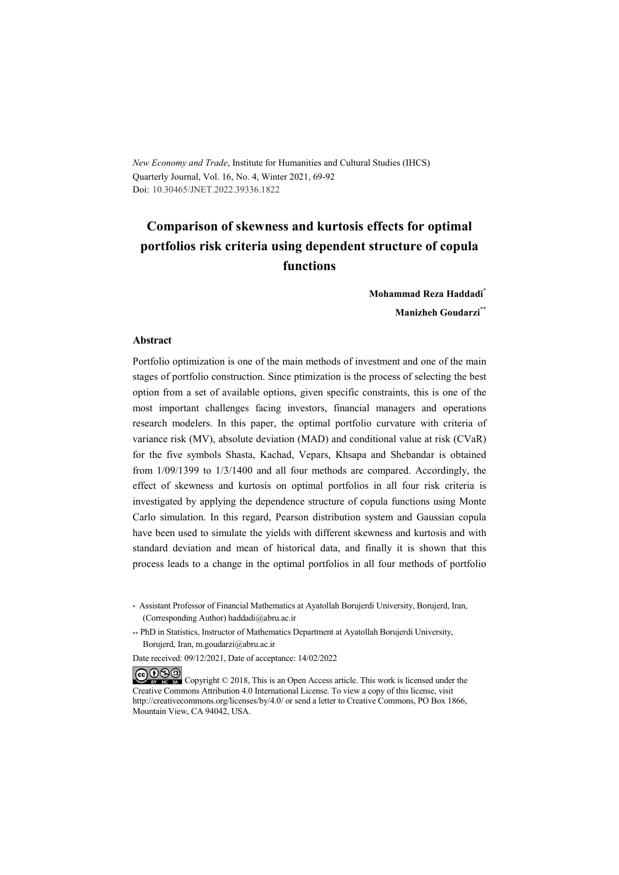*New Economy and Trade*, Institute for Humanities and Cultural Studies (IHCS) Quarterly Journal, Vol. 16, No. 4, Winter 2021, 69-92 Doi: 10.30465/JNET.2022.39336.1822

# **Comparison of skewness and kurtosis effects for optimal portfolios risk criteria using dependent structure of copula functions**

**Mohammad Reza Haddadi\* Manizheh Goudarzi\*\***

#### **Abstract**

Portfolio optimization is one of the main methods of investment and one of the main stages of portfolio construction. Since ptimization is the process of selecting the best option from a set of available options, given specific constraints, this is one of the most important challenges facing investors, financial managers and operations research modelers. In this paper, the optimal portfolio curvature with criteria of variance risk (MV), absolute deviation (MAD) and conditional value at risk (CVaR) for the five symbols Shasta, Kachad, Vepars, Khsapa and Shebandar is obtained from 1/09/1399 to 1/3/1400 and all four methods are compared. Accordingly, the effect of skewness and kurtosis on optimal portfolios in all four risk criteria is investigated by applying the dependence structure of copula functions using Monte Carlo simulation. In this regard, Pearson distribution system and Gaussian copula have been used to simulate the yields with different skewness and kurtosis and with standard deviation and mean of historical data, and finally it is shown that this process leads to a change in the optimal portfolios in all four methods of portfolio

Date received: 09/12/2021, Date of acceptance: 14/02/2022

COOO Copyright © 2018, This is an Open Access article. This work is licensed under the Creative Commons Attribution 4.0 International License. To view a copy of this license, visit http://creativecommons.org/licenses/by/4.0/ or send a letter to Creative Commons, PO Box 1866, Mountain View, CA 94042, USA.

<sup>\*</sup> Assistant Professor of Financial Mathematics at Ayatollah Borujerdi University, Borujerd, Iran, (Corresponding Author) haddadi@abru.ac.ir

<sup>\*\*</sup> PhD in Statistics, Instructor of Mathematics Department at Ayatollah Borujerdi University, Borujerd, Iran, m.goudarzi@abru.ac.ir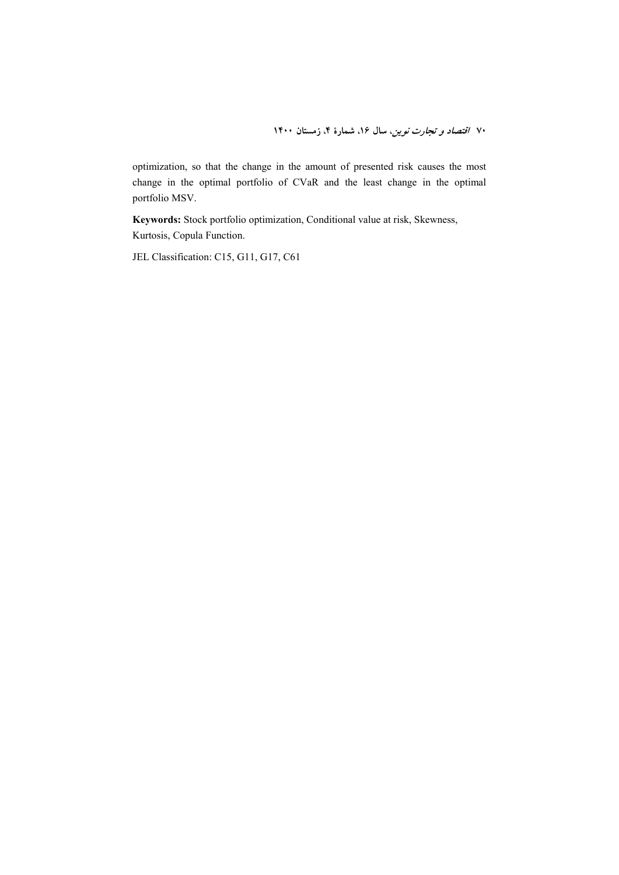optimization, so that the change in the amount of presented risk causes the most change in the optimal portfolio of CVaR and the least change in the optimal portfolio MSV.

**Keywords:** Stock portfolio optimization, Conditional value at risk, Skewness, Kurtosis, Copula Function.

JEL Classification: C15, G11, G17, C61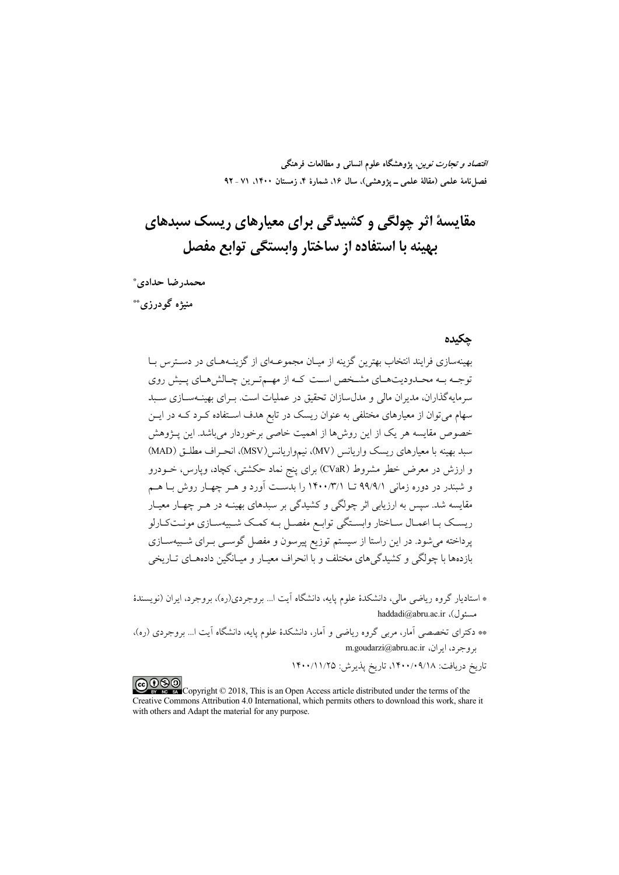*اقتصاد و تجارت نوین*، پژوهشگاه علوم انسان<sub>ی</sub> و مطالعات فرهنگی فصل نامهٔ علمی (مقالهٔ علمی \_ یژوهشی)، سال ۱۶، شمارهٔ ۴، زمستان ۱۴۰۰، ۷۱ ـ ۹۲

# مقايسهٔ اثر چولگی و کشيدگی برای معيارهای ريسک سېدهای يهينه يا استفاده از ساختار وايستگي توابع مفصل

محمدرضا حدادى\* منيژه گودرزي\*\*

#### چکیده

بهینهسازی فرایند انتخاب بهترین گزینه از میـان مجموعـهای از گزینــههـای در دســترس بــا توجـه بـه محـدوديتهـاي مشـخص اسـت كـه از مهـمتـرين چـالشهـاي پـيش روي سرمایهگذاران، مدیران مالی و مدلسازان تحقیق در عملیات است. بـرای بهینـهسـازی سـبد سهام می توان از معیارهای مختلفی به عنوان ریسک در تابع هدف اسـتفاده کـرد کــه در ایــن خصوص مقایسه هر یک از این روشها از اهمیت خاصی برخوردار میباشد. این پـژوهش سبد بهينه با معيارهاي ريسك واريانس (MV)، نيمواريانس(MSV)، انحـراف مطلـق (MAD) و ارزش در معرض خطر مشروط (CVaR) برای پنج نماد حکشتی، کچاد، ویارس، خــودرو و شبندر در دوره زمانی ۹۹/۹/۱ تــا ۱۴۰۰/۳/۱ را بدسـت آورد و هــر چهــار روش بــا هــم مقایسه شد. سپس به ارزیابی اثر چولگی و کشیدگی بر سبدهای بهینـه در هـر چهـار معیـار ریسک بـا اعمـال سـاختار وابسـتگی توابـع مفصـل بـه کمـک شـبیهسـازی مونـتکـارلو پرداخته می شود. در این راستا از سیستم توزیع پیرسون و مفصل گوســی بــرای شــبیهســازی بازدهها با چولگی و کشیدگی های مختلف و با انحراف معیـار و میـانگین دادههــای تــاریخی

- \* استادیار گروه ریاضی مالی، دانشکدهٔ علوم پایه، دانشگاه آیت ا… بروجردی(ره)، بروجرد، ایران (نویسندهٔ haddadi@abru.ac.ir ،(ر) haddadi
- \*\* دکترای تخصصی آمار، مربی گروه ریاضی و آمار، دانشکدهٔ علوم پایه، دانشگاه آیت ا… بروجردی (ره)، m.goudarzi@abru.ac.ir بروجرد، ايران، m.goudarzi@abru.ac

تاريخ دريافت: ١٤٠٠/٠٩/١٨، تاريخ پذيرش: ١٤٠٠/١١/٢٥

COOD experience Copyright © 2018, This is an Open Access article distributed under the terms of the Creative Commons Attribution 4.0 International, which permits others to download this work, share it with others and Adapt the material for any purpose.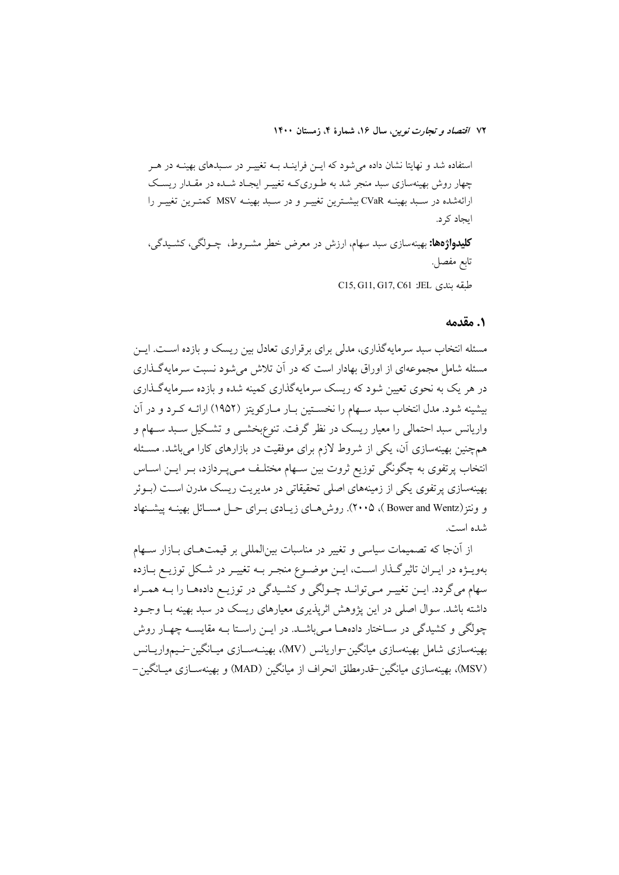استفاده شد و نهایتا نشان داده می شود که ایــن فراینــد بــه تغییــر در ســبدهای بهینــه در هــر چهار روش بهینهسازی سبد منجر شد به طـوریکـه تغییـر ایجـاد شـده در مقـدار ریسـک ارائهشده در سـبد بهينــه CVaR بيشــترين تغييــر و در سـبد بهينــه MSV كمتــرين تغييــر را ایجاد کر د. **کلیدواژهها:** بهینهسازی سبد سهام، ارزش در معرض خطر مشــروط، چــولگی، کشــیدگی، تابع مفصل. C15, G11, G17, C61 :JEL طبقه بندى

#### ١. مقدمه

مسئله انتخاب سبد سرمایهگذاری، مدلی برای برقراری تعادل بین ریسک و بازده اسـت. ایــن مسئله شامل مجموعهای از اوراق بهادار است که در آن تلاش می شود نسبت سرمایهگذاری در هر یک به نحوی تعیین شود که ریسک سرمایهگذاری کمینه شده و بازده سـرمایهگـذاری بیشینه شود. مدل انتخاب سبد سـهام را نخســتین بــار مــارکویتز (۱۹۵۲) ارائــه کــرد و در آن واریانس سبد احتمالی را معیار ریسک در نظر گرفت. تنوعهخشــی و تشــکیل ســبد ســهام و همچنین بهینهسازی آن، یکی از شروط لازم برای موفقیت در بازارهای کارا میباشد. مسـئله انتخاب پرتفوی به چگونگی توزیع ثروت بین سـهام مختلـف مـیEبـردازد، بـر ایــن اســاس بهینهسازی پرتفوی یکی از زمینههای اصلی تحقیقاتی در مدیریت ریسک مدرن اسـت (بــوئر و ونتز (Bower and Wentz )، ۲۰۰۵). روش هبای زیبادی بیرای حبل مسبائل بهینیه پیشنهاد شده است.

از اّنجا که تصمیمات سیاسی و تغییر در مناسبات بین|لمللی بر قیمتهـای بــازار ســهام بهویــژه در ایــران تاثیرگــذار اســت، ایــن موضــوع منجــر بــه تغییــر در شــکل توزیــع بــازده سهام می گردد. ایــن تغییــر مــی توانــد چــولگی و کشــیدگی در توزیــع دادههــا را بــه همــراه داشته باشد. سوال اصلی در این یژوهش اثریذیری معیارهای ریسک در سبد بهینه بـا وجـود چولگی و کشیدگی در سـاختار دادههــا مــی باشــد. در ایــن راســتا بــه مقایســه چهــار روش بهینهسازی شامل بهینهسازی میانگین-واریانس (MV)، بهینـهسـازی میـانگین-نـیمواریــانس (MSV)، بهبنهسازی مبانگین-قدرمطلق انحراف از مبانگین (MAD) و بهبنهســازی مبــانگین-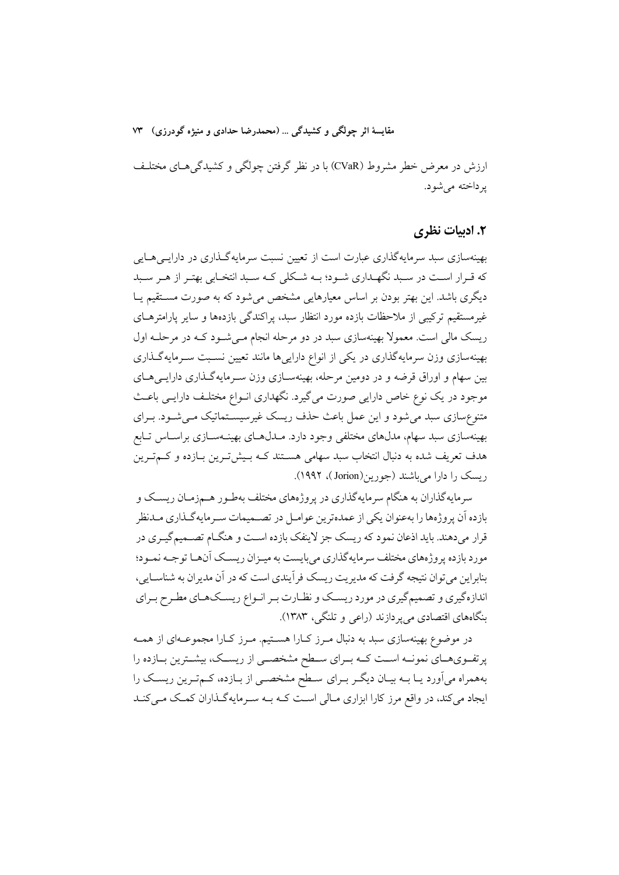ارزش در معرض خطر مشروط (CVaR) با در نظر گرفتن چولگی و کشیدگی هـای مختلـف یر داخته می شو د.

## ۲. ادبیات نظری

بهینهسازی سبد سرمایهگذاری عبارت است از تعیین نسبت سرمایهگـذاری در دارایــ ,هــایـ , که قـرار اسـت در سـبد نگهـداري شـود؛ بـه شـکلي کـه سـبد انتخـابي بهتـر از هـر سـبد دیگری باشد. این بهتر بودن بر اساس معیارهایی مشخص میشود که به صورت مستقیم یـا غیرمستقیم ترکیبی از ملاحظات بازده مورد انتظار سبد، پراکندگی بازدهها و سایر پارامترهــای ریسک مالی است. معمولا بهینهسازی سبد در دو مرحله انجام مـیشـود کـه در مرحلـه اول بهینهسازی وزن سرمایهگذاری در یکی از انواع دارایی ها مانند تعیین نسـبت سـرمایهگـذاری بین سهام و اوراق قرضه و در دومین مرحله، بهینهسـازی وزن سـرمایهگـذاری دارایـیهـای موجود در یک نوع خاص دارایی صورت میگیرد. نگهداری انـواع مختلـف دارایـی باعـث متنوع سازی سبد می شود و این عمل باعث حذف ریسک غیرسیســتماتیک مــی شــود. بــرای بهینهسازی سبد سهام، مدلهای مختلفی وجود دارد. مــدلهـای بهینــهســازی براســاس تــابع هدف تعریف شده به دنبال انتخاب سبد سهامی هسـتند کـه بـیش تـرین بـازده و کــم تـرین ریسک را دارا می باشند (جورین(Jorion)، ۱۹۹۲).

سرمایهگذاران به هنگام سرمایهگذاری در پروژههای مختلف بهطـور هـمزمـان ریسـک و بازده اَن يروژهها را بهعنوان يكي از عمدهترين عوامــل در تصــميمات ســرمايهگــذاري مــدنظر قرار میدهند. باید اذعان نمود که ریسک جز لاینفک بازده است و هنگــام تصــمیمگیــری در مورد بازده پروژههای مختلف سرمایهگذاری میبایست به میـزان ریسـک آنهـا توجـه نمـود؛ بنابراین می توان نتیجه گرفت که مدیریت ریسک فر آیندی است که در آن مدیران به شناسـایی، اندازهگیری و تصمیمگیری در مورد ریسک و نظـارت بـر انـواع ریسـکـهـای مطـرح بـرای بنگاههای اقتصادی می پردازند (راعی و تلنگی، ۱۳۸۳).

در موضوع بهینهسازی سبد به دنبال مـرز کـارا هسـتیم. مـرز کـارا مجموعـهای از همـه پرتفویهای نمونـه اسـت کـه بـرای سـطح مشخصـی از ریسـک، بیشـترین بـازده را بههمراه میآورد یـا بــه بیـان دیگـر بـرای سـطح مشخصـی از بـازده، کـمتـرین ریسـک را ایجاد می کند، در واقع مرز کارا ابزاری مـالی اسـت کـه بـه سـرمایهگـذاران کمـک مـی کنـد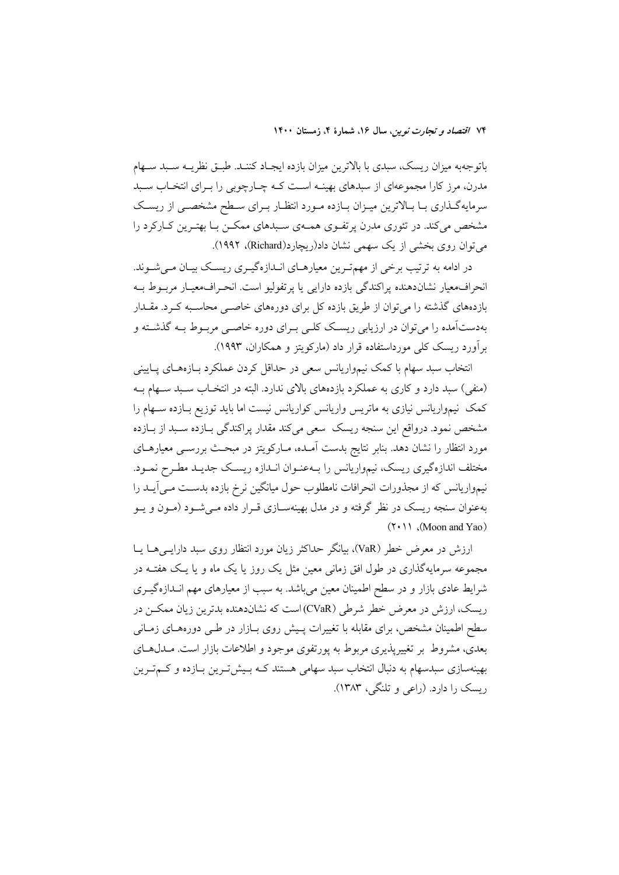باتوجهبه میزان ریسک، سبدی با بالاترین میزان بازده ایجـاد کننـد. طبـق نظریــه سـبد سـهام مدرن، مرز کارا مجموعهای از سبدهای بهینــه اســت کــه چــارچوبی را بــرای انتخــاب ســبد سرمایهگذاری بـا بـالاترین میـزان بـازده مـورد انتظـار بـرای سـطح مشخصـی از ریسـک مشخص میکند. در تئوری مدرن پرتفـوی همـهی سـبدهای ممکـن بـا بهتـرین کـارکرد را می توان روی بخشی از یک سهمی نشان داد(ریچارد(Richard)، ۱۹۹۲).

در ادامه به ترتیب برخی از مهمترین معیارهـای انـدازهگیـری ریسـک بیـان مـی شــوند. انحراف معيار نشاندهنده يراكندگي بازده دارايي يا پرتفوليو است. انحـراف،معيــار مربــوط بــه بازدههای گذشته را میتوان از طریق بازده کل برای دورههای خاصـی محاسـبه کـرد. مقــدار بهدستآمده را می توان در ارزیابی ریسک کلـی بـرای دوره خاصـی مربـوط بـه گذشـته و برآورد ریسک کلی مورداستفاده قرار داد (مارکویتز و همکاران، ۱۹۹۳).

انتخاب سبد سهام با کمک نیمواریانس سعی در حداقل کردن عملکرد بـازههـای پـایینی (منفی) سبد دارد و کاری به عملکرد بازدههای بالای ندارد. البته در انتخـاب سـبد سـهام بـه کمک نیمواریانس نیازی به ماتریس واریانس کواریانس نیست اما باید توزیع بـازده سـهام را مشخص نمود. درواقع این سنجه ریسک ً سعی میکند مقدار پراکندگی بـازده سـبد از بـازده مورد انتظار را نشان دهد. بنابر نتایج بدست آمـده، مـارکویتز در مبحـث بررســی معیارهــای مختلف اندازهگیری ریسک، نیمواریانس را بـهعنـوان انـدازه ریسـک جدیـد مطـرح نمـود. نیمواریانس که از مجذورات انحرافات نامطلوب حول میانگین نرخ بازده بدست مـی]یــد را بهعنوان سنجه ریسک در نظر گرفته و در مدل بهینهسـازی قـرار داده مـیشـود (مـون و یـو  $(Y \cdot \)$  (Moon and Yao)

ارزش در معرض خطر (VaR)، بیانگر حداکثر زیان مورد انتظار روی سبد دارایــیهــا یــا مجموعه سرمایهگذاری در طول افق زمانی معین مثل یک روز یا یک ماه و یا یک هفتــه در شرایط عادی بازار و در سطح اطمینان معین میباشد. به سبب از معیارهای مهم انــدازهگیــری ریسک، ارزش در معرض خطر شرطی (CVaR)است که نشاندهنده بدترین زیان ممکــن در سطح اطمینان مشخص، برای مقابله با تغییرات پـیش روی بــازار در طــی دورههــای زمــانـی بعدی، مشروط بر تغییرپذیری مربوط به پورتفوی موجود و اطلاعات بازار است. مــدل۱عــای بهینهسازی سبدسهام به دنبال انتخاب سبد سهامی هستند کـه بـیش تـرین بـازده و کــمتـرین د بسک را دارد. (راعي و تلنگي، ۱۳۸۳).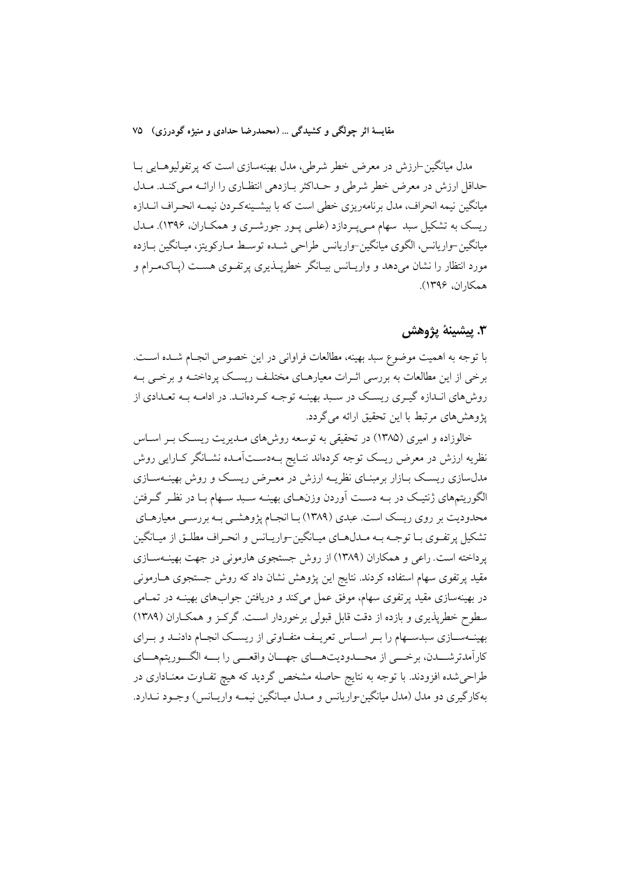مقايسهٔ اثر چولگي و کشيدگي ... (محمدرضا حدادي و منيژه گودرزي) ۷۵

مدل میانگین-ارزش در معرض خطر شرطی، مدل بهینهسازی است که پرتفولیوهــایی بــا حداقل ارزش در معرض خطر شرطي و حـداكثر بـازدهي انتظـاري را ارائــه مـي كنــد. مــدل میانگین نیمه انحراف، مدل برنامهریزی خطی است که با بیشـینهکـردن نیمـه انحـراف انـدازه ریسک به تشکیل سبد سهام میپیردازد (علمی پور جورشری و همکاران، ۱۳۹۶). مـدل ميانگين-واريانس، الگوي ميانگين-واريانس طراحي شــده توســط مــاركويتز، ميــانگين بــازده مورد انتظار را نشان میدهد و واریـانس بیـانگر خطرپــذیری پرتفــوی هســت (پــاکــهــرام و همكاران، ۱۳۹۶).

### ٣. پيشينۀ يژوهش

با توجه به اهمیت موضوع سبد بهینه، مطالعات فراوانی در این خصوص انجـام شـده اسـت. برخی از این مطالعات به بررسی اثـرات معیارهـای مختلـف ریسـک پرداختـه و برخـی بـه روش های انـدازه گیـری ریسـک در سـبد بهینـه توجـه کـردهانـد. در ادامـه بـه تعـدادی از یژوهش های مرتبط با این تحقیق ارائه می گردد.

خالوزاده و امیری (۱۳۸۵) در تحقیقی به توسعه روش های مـدیریت ریسـک بـر اسـاس نظریه ارزش در معرض ریسک توجه کردهاند نتـایج بــهدســتآمــده نشــانگر کــارایی روش مدل سازی ریسک بـازار برمبنـای نظریـه ارزش در معـرض ریسـک و روش بهینــهسـازی الگوریتمهای ژنتیک در بـه دسـت آوردن وزنهـای بهینـه سـبد سـهام بـا در نظـر گـرفتن محدودیت بر روی ریسک است. عبدی (۱۳۸۹) بـا انجـام پژوهشــی بـه بررســی معیارهــای تشکیل پرتفـوی بـا توجـه بـه مـدلهـای میـانگین-واریـانس و انحـراف مطلـق از میـانگین پرداخته است. راعی و همکاران (۱۳۸۹) از روش جستجوی هارمونی در جهت بهینــهســازی مقید پرتفوی سهام استفاده کردند. نتایج این پژوهش نشان داد که روش جستجوی هــارمونی در بهینهسازی مقید پرتفوی سهام، موفق عمل میکند و دریافتن جوابهای بهینــه در تمــامی سطوح خطرپذیری و بازده از دقت قابل قبولی برخوردار است. گرکـز و همکـاران (۱۳۸۹) بهینـهسـازی سبدسـهام را بـر اسـاس تعریـف متفـاوتی از ریسـک انجـام دادنـد و بـرای كاراًمدترشـــدن، برخـــي از محـــدوديتهـــاي جهــان واقعـــي را بـــه الگـــوريتمهـــاي طراحیشده افزودند. با توجه به نتایج حاصله مشخص گردید که هیچ تفـاوت معنـاداری در بهکارگیری دو مدل (مدل میانگین-واریانس و مـدل میـانگین نیمـه واریـانس) وجـود نــدارد.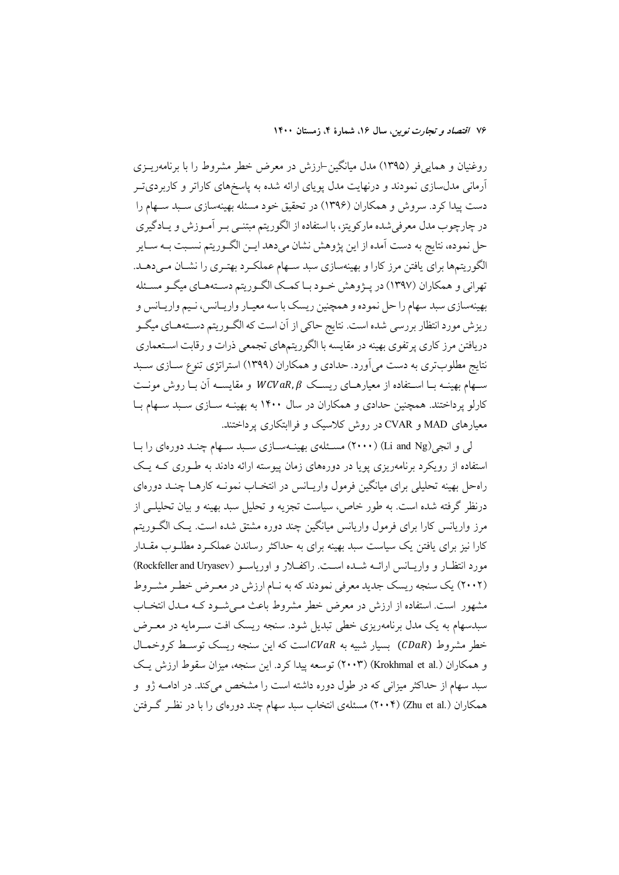روغنیان و هماییفر (۱۳۹۵) مدل میانگین-ارزش در معرض خطر مشروط را با برنامهریــزی آرمانی مدلسازی نمودند و درنهایت مدل پویای ارائه شده به پاسخهای کاراتر و کاربردیت دست پیدا کرد. سروش و همکاران (۱۳۹۶) در تحقیق خود مسئله بهینهسازی سـبد سـهام را در چارچوب مدل معرفی شده مارکویتز، با استفاده از الگوریتم مبتنـی بـر آمـوزش و یـادگیری حل نموده، نتايج به دست آمده از اين پژوهش نشان ميدهد ايـن الگـوريتم نسـبت بــه ســاير الگوریتمها برای یافتن مرز کارا و بهینهسازی سبد سـهام عملکـرد بهتـری را نشـان مـیدهـد. تهراني و همکاران (۱۳۹۷) در پـژوهش خـود بـا کمـک الگـوريتم دسـتههـاي ميگـو مسـئله بهینهسازی سبد سهام را حل نموده و همچنین ریسک با سه معیـار واریـانس، نـیم واریـانس و ریزش مورد انتظار بررسی شده است. نتایج حاکی از آن است که الگـوریتم دسـتههـای میگـو دریافتن مرز کاری پرتفوی بهینه در مقایسه با الگوریتمهای تجمعی ذرات و رقابت استعماری نتایج مطلوبتری به دست میآورد. حدادی و همکاران (۱۳۹۹) استراتژی تنوع ســازی ســبد سهام بهینـه بـا اســتفاده از معیارهــای ریســک WCVaR,  $\beta$  و مقایســه آن بـا روش مونــت کارلو پرداختند. همچنین حدادی و همکاران در سال ۱۴۰۰ به بهینــه ســازی سـبد ســهام بــا معیارهای MAD و CVAR در روش کلاسیک و فراابتکاری پرداختند.

ل<sub>ی</sub> و انجی(Li and Ng) (۲۰۰۰) مسـئلهی بهینــهســازی ســبد ســهام چنــد دورهای را بــا استفاده از رویکرد برنامهریزی پویا در دورههای زمان پیوسته ارائه دادند به طـوری کـه یـک راه حل بهینه تحلیلی برای میانگین فرمول واریـانس در انتخـاب نمونــه کارهــا چنــد دورهای درنظر گرفته شده است. به طور خاص، سیاست تجزیه و تحلیل سبد بهینه و بیان تحلیلـی از مرز واریانس کارا برای فرمول واریانس میانگین چند دوره مشتق شده است. یـک الگــوریتم کارا نیز برای یافتن یک سیاست سبد بهینه برای به حداکثر رساندن عملکـرد مطلـوب مقــدار مورد انتظـار و واريـانس ارائــه شــده اســت. راكفـلار و اورياســو (Rockfeller and Uryasev) (۲۰۰۲) یک سنجه ریسک جدید معرفی نمودند که به نـام ارزش در معـرض خطـر مشـروط مشهور است. استفاده از ارزش در معرض خطر مشروط باعث مـىشـود كـه مـدل انتخـاب سبدسهام به یک مدل برنامهریزی خطی تبدیل شود. سنجه ریسک افت سـرمایه در معـرض خطر مشروط (CDaR) بسیار شبیه به CVaRاست که این سنجه ریسک توسط کروخمال و همکاران (.Krokhmal et al) (۲۰۰۳) توسعه پیدا کرد. این سنجه، میزان سقوط ارزش یک سبد سهام از حداکثر میزانی که در طول دوره داشته است را مشخص میکند. در ادامــه ژو و همکاران (.Zhu et al) (۲۰۰۴) مسئلهی انتخاب سبد سهام چند دورهای را با در نظـر گـرفتن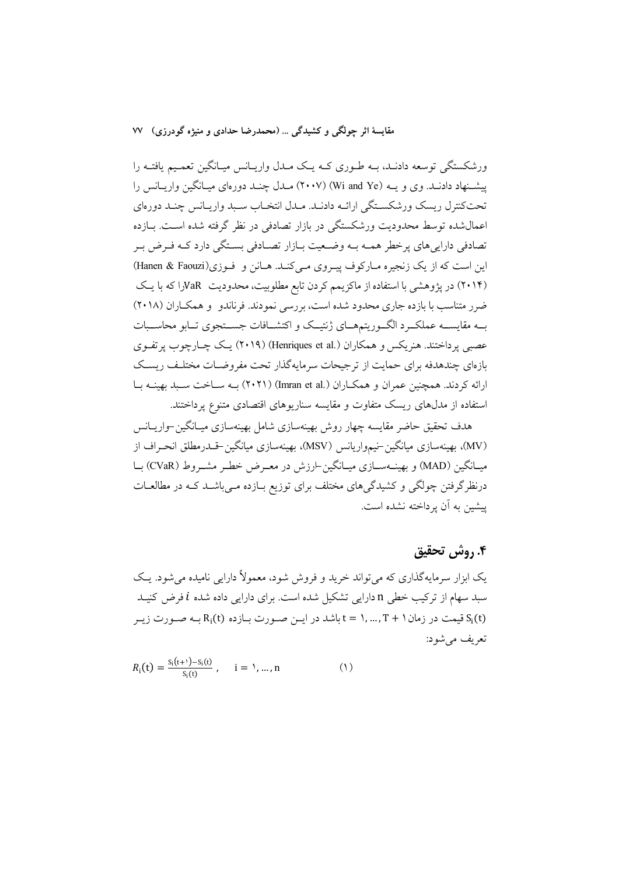ورشکستگی توسعه دادنـد، بــه طـوری کــه یـک مــدل واریــانس میـانگین تعمـیم یافتــه را پیشنهاد دادنـد. وی و پــه (Wi and Ye) (۲۰۰۷) مــدل چنــد دورهای میــانگین واریــانس را تحت كنترل ريسك ورشكسـتگي ارائـه دادنـد. مـدل انتخـاب سـبد واريـانس چنـد دورهاي اعمال شده توسط محدوديت ورشكستگي در بازار تصادفي در نظر گرفته شده است. بـازده تصادفی دارایی های پرخطر همـه بـه وضـعیت بـازار تصـادفی بسـتگی دارد کـه فـرض بـر این است که از یک زنجیره مـارکوف پیـروی مـیکنـد. هـانن و فـوزی(Hanen & Faouzi) (۲۰۱۴) در پژوهشی با استفاده از ماکزیمم کردن تابع مطلوبیت، محدودیت VaRرا که با یک ضرر متناسب با بازده جاری محدود شده است، بررسی نمودند. فرناندو و همکـاران (۲۰۱۸) بــه مقايســه عملكــرد الگــوريتمهــاي ژنتيــك و اكتشــافات جســتجوي تــابو محاســبات عصبي يرداختند. هنريكس و همكاران (.Henriques et al) (٢٠١٩) يك چــارچوب يرتفـوي بازهای چندهدفه برای حمایت از ترجیحات سرمایهگذار تحت مفروضـات مختلـف ریسـک ارائه کردند. همچنین عمران و همکـاران (.Imran et al) (۲۰۲۱) بــه ســاخت سـبد بهینــه بــا استفاده از مدلهای ریسک متفاوت و مقایسه سناریوهای اقتصادی متنوع پرداختند.

هدف تحقیق حاضر مقایسه چهار روش بهینهسازی شامل بهینهسازی میـانگین-واریــانس (MV)، بهینهسازی میانگین-نیمواریانس (MSV)، بهینهسازی میانگین-قلدرمطلق انحـراف از میـانگین (MAD) و بهینــهســازی میــانگین-ارزش در معــرض خطـر مشــروط (CVaR) بــا درنظرگرفتن چولگی و کشیدگیهای مختلف برای توزیع بـازده مـیباشــد کـه در مطالعــات يبشين به آن يرداخته نشده است.

#### ۴. روش تحقیق

یک ابزار سرمایهگذاری که می تواند خرید و فروش شود، معمولاً دارایی نامیده می شود. یـک سبد سهام از ترکیب خطی n دارایی تشکیل شده است. برای دارایی داده شده i فرض کنیـد قیمت در زمان ( + T , ... , T + باشد در ایــن صـورت بــازده (Ri(t بـه صـورت زیــر  $S_i(t)$ تعريف مي شود:

$$
R_i(t) = \frac{S_i(t+1) - S_i(t)}{S_i(t)}, \quad i = 1, ..., n
$$
 (1)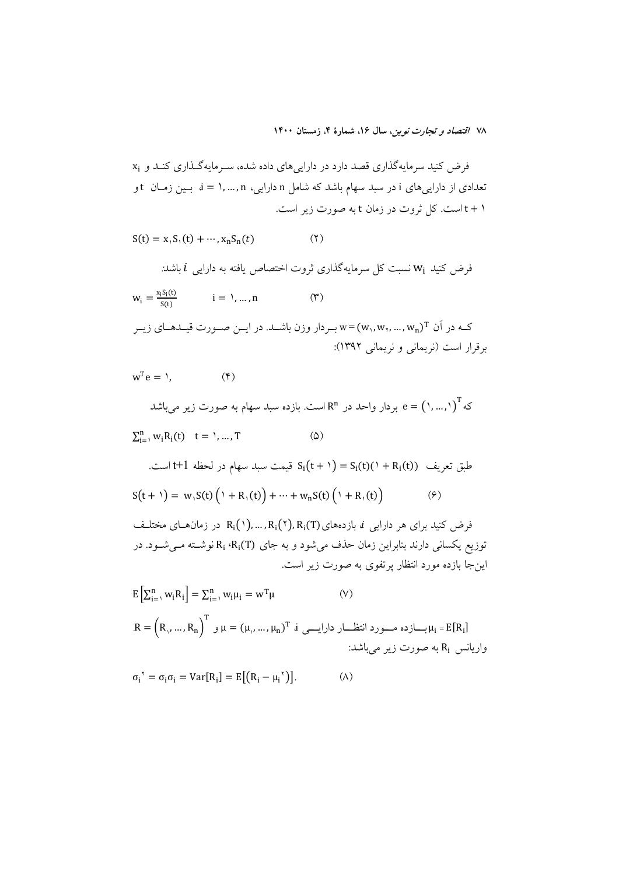فرض کنید سرمایهگذاری قصد دارد در داراییهای داده شده، سـرمایهگـذاری کنـد و xi تعدادی از داراییهای i در سبد سهام باشد که شامل n دارایی، i = ۱,...,n بـین زمـان t و ۱ + t است. کل ثروت در زمان t به صورت زیر است.

$$
S(t) = x_1 S_1(t) + \cdots, x_n S_n(t)
$$
 (7)

فرض کنید  $W_i$  نسبت کل سرمایهگذاری ثروت اختصاص یافته به دارایی  $i$  باشد:

$$
w_i = \frac{x_i S_i(t)}{S(t)} \qquad i = 1, ..., n \qquad (\Upsilon)
$$

کـه در آن  $\mathbf{w}_\text{n},\mathbf{w}_\text{r},...,\mathbf{w}_\text{n}$  بـردار وزن باشــد. در ايــن صــورت قيــدهــاي زيــر برقرار است (نریمانی و نریمانی ۱۳۹۲):

 $w^T e = Y$ .  $(\mathfrak{F})$ 

که آ $\left(\cdot,\ldots,\cdot\right)^T$  و بردار واحد در  $\mathbb{R}^n$  است. بازده سبد سهام به صورت زیر میباشد  $\sum_{i=1}^{n} w_i R_i(t)$   $t = 1, ..., T$  $\circ$ 

طبق تعريف (5)(
$$
t + 1
$$
) = S<sub>i</sub>( $t + 1$ ) = S<sub>i</sub>( $t + 1$ ) + ... $t + 1$  است.  
\n
$$
S(t + 1) = w, S(t) (1 + R, (t)) + \dots + wn S(t) (1 + R, (t))
$$
\n(9)

فرض کنید برای هر دارایی نم بازدههای(N), ..., R<sub>i</sub>(۲), R<sub>i</sub>(۲), در زمانهـای مختلـف توزیع یکسانی دارند بنابراین زمان حذف میشود و به جای Ri ،Ri(T) نوشـته مـیشـود. در این جا بازده مورد انتظار پر تفوی به صورت زیر است.

$$
E\left[\sum_{i=1}^{n} w_i R_i\right] = \sum_{i=1}^{n} w_i \mu_i = w^T \mu
$$
\n
$$
R = \left(R_1, \dots, R_n\right)^T \quad \text{if} \quad (V)
$$
\n
$$
R = \left(R_1, \dots, R_n\right)^T \quad \text{if} \quad (V) \quad \text{if} \quad R_i = E[R_i]
$$
\n
$$
R_i = \left(R_1, \dots, R_n\right)^T \quad \text{if} \quad (V) \quad \text{if} \quad R_i = E[R_i]
$$

$$
\sigma_i^{\ \gamma} = \sigma_i \sigma_i = \text{Var}[R_i] = E[(R_i - \mu_i^{\ \gamma})]. \tag{A}
$$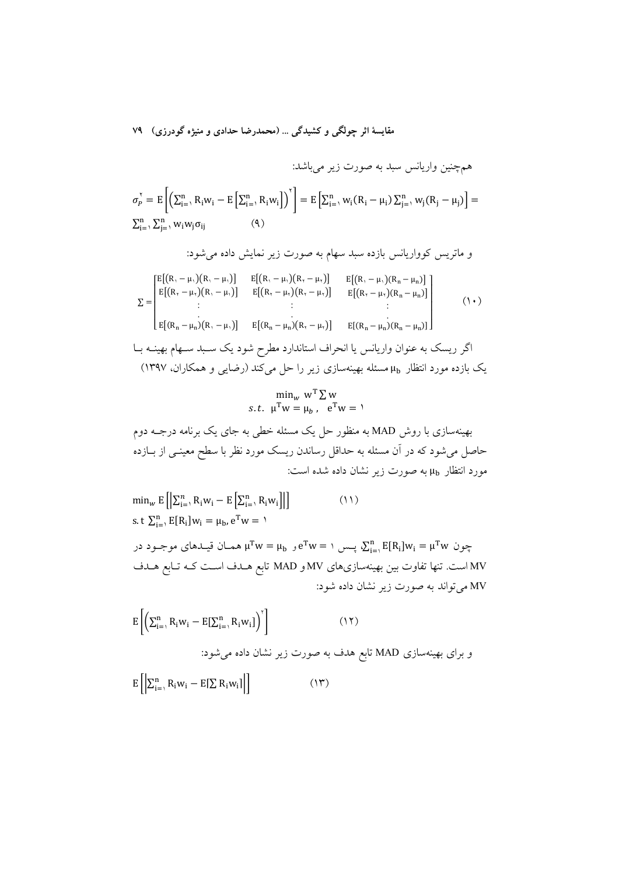$$
\sigma_p^v = E\left[\left(\sum_{i=1}^n R_i w_i - E\left[\sum_{i=1}^n R_i w_i\right]\right)^v\right] = E\left[\sum_{i=1}^n w_i (R_i - \mu_i) \sum_{j=1}^n w_j (R_j - \mu_j)\right] = \sum_{i=1}^n \sum_{j=1}^n w_i w_j \sigma_{ij}
$$
\n(4)

و ماتریس کوواریانس بازده سبد سهام به صورت زیر نمایش داده میشود:

$$
\Sigma = \begin{bmatrix} E[(R, -\mu,)(R, -\mu,)] & E[(R, -\mu,)(R, -\mu,)] & E[(R, -\mu,)(R, -\mu,)] \\ E[(R, -\mu,)(R, -\mu,)] & E[(R, -\mu,)(R, -\mu,)] & E[(R, -\mu,)(R, -\mu,)] \\ \vdots & \vdots & \vdots \\ E[(R_n - \mu_n)(R, -\mu,)] & E[(R_n - \mu_n)(R, -\mu,)] & E[(R_n - \mu_n)(R_n - \mu_n)] \end{bmatrix}
$$
 (1.)  
\n
$$
\begin{aligned} \Sigma = \begin{bmatrix} E[(R, -\mu,)(R, -\mu,)] & E[(R, -\mu,)(R, -\mu,)] \\ \vdots & \vdots \\ E[(R_n - \mu_n)(R, -\mu,)] & E[(R, -\mu,)(R, -\mu,)] \end{bmatrix} & (1.5) \\ \text{where } E[(R, -\mu,)(R, -\mu,)] & (1.5) \\ \text{where } E[(R, -\mu,)(R, -\mu,)] & (1.5) \\ \text{where } E[(R, -\mu,)(R, -\mu,)] & (1.5) \\ \text{where } E[(R, -\mu,)(R, -\mu,)] & (1.5) \\ \text{where } E[(R, -\mu,)(R, -\mu,)] & (1.5) \\ \text{where } E[(R, -\mu,)(R, -\mu,)] & (1.5) \\ \text{where } E[(R, -\mu,)(R, -\mu,)] & (1.5) \\ \text{where } E[(R, -\mu,)(R, -\mu,)] & (1.5) \\ \text{where } E[(R, -\mu,)(R, -\mu,)] & (1.5) \\ \text{where } E[(R, -\mu,)(R, -\mu,)] & (1.5) \\ \text{where } E[(R, -\mu,)(R, -\mu,)] & (1.5) \\ \text{where } E[(R, -\mu,)(R, -\mu,)] & (1.5) \\ \text{where } E[(R, -\mu,)(R, -\mu,)] & (1.5) \\ \text{where } E[(R, -\mu,)(R, -\mu,)] & (1.5) \\ \text{where } E[(R, -\mu,)(R, -\mu,)] & (1.5) \\ \text{where } E[(R, -\mu,)(R, -\mu,)] & (1.5) \\ \text{where } E[(R, -\mu,)(R, -
$$

$$
\min_{w} w^{\mathrm{T}} \sum w
$$
  
s.t.  $\mu^{\mathrm{T}} w = \mu_b$ ,  $e^{\mathrm{T}} w = \nu$ 

بهینهسازی با روش MAD به منظور حل یک مسئله خطی به جای یک برنامه درجــه دوم حاصل میشود که در آن مسئله به حداقل رساندن ریسک مورد نظر با سطح معینــی از بــازده مورد انتظار µ<sub>tb</sub> به صورت زیر نشان داده شده است:

$$
\min_{w} E\left[\left|\sum_{i=1}^{n} R_{i}w_{i} - E\left[\sum_{i=1}^{n} R_{i}w_{i}\right]\right|\right]
$$
\n
$$
s.t \ \sum_{i=1}^{n} E[R_{i}]w_{i} = \mu_{b}, e^{T}w = 1
$$
\n
$$
\mu^{T}w = \mu_{b} \quad \text{if } w = 1 \quad \text{if } \sum_{i=1}^{n} E[R_{i}]w_{i} = \mu^{T}w \ \text{if } \sum_{i=1}^{n} E[R_{i}]w_{i} = \mu^{T}w \ \text{if } \sum_{i=1}^{n} E[R_{i}]w_{i} = \mu^{T}w \ \text{if } \sum_{i=1}^{n} E[R_{i}]w_{i} = \mu^{T}w \ \text{if } \sum_{i=1}^{n} E[R_{i}]w_{i} = \mu^{T}w \ \text{if } \sum_{i=1}^{n} E[R_{i}]w_{i} = \mu^{T}w \ \text{if } \sum_{i=1}^{n} E[R_{i}]w_{i} = \mu^{T}w \ \text{if } \sum_{i=1}^{n} E[R_{i}]w_{i} = \mu^{T}w \ \text{if } \sum_{i=1}^{n} E[R_{i}]w_{i} = \mu^{T}w \ \text{if } \sum_{i=1}^{n} E[R_{i}]w_{i} = \mu^{T}w \ \text{if } \sum_{i=1}^{n} E[R_{i}]w_{i} = \mu^{T}w \ \text{if } \sum_{i=1}^{n} E[R_{i}]w_{i} = \mu^{T}w \ \text{if } \sum_{i=1}^{n} E[R_{i}]w_{i} = \mu^{T}w \ \text{if } \sum_{i=1}^{n} E[R_{i}]w_{i} = \mu^{T}w \ \text{if } \sum_{i=1}^{n} E[R_{i}]w_{i} = \mu^{T}w \ \text{if } \sum_{i=1}^{n} E[R_{i}]w_{i} = \mu^{T}w \ \text{if } \sum_{i=1}^{n} E[R_{i}]w_{i} = \mu^{T}w \ \text{if } \sum_{i=1}^{n} E[R_{i}]w_{i} = \mu^{T}w \ \text{if } \sum_{i=1}^{n} E[R_{i}]w_{i} = \mu^{T}w \ \text{if } \sum_{i=1}^{n} E[R
$$

$$
E\left[\left(\sum_{i=1}^{n} R_i w_i - E[\sum_{i=1}^{n} R_i w_i]\right)\right]
$$
\n(17)  
\n
$$
E\left[\left(\sum_{i=1}^{n} R_i w_i - E[\sum_{i=1}^{n} R_i w_i]\right)\right]
$$
\n
$$
E\left[\left(\sum_{i=1}^{n} R_i w_i - E[\sum_{i=1}^{n} R_i w_i]\right)\right]
$$
\n(19)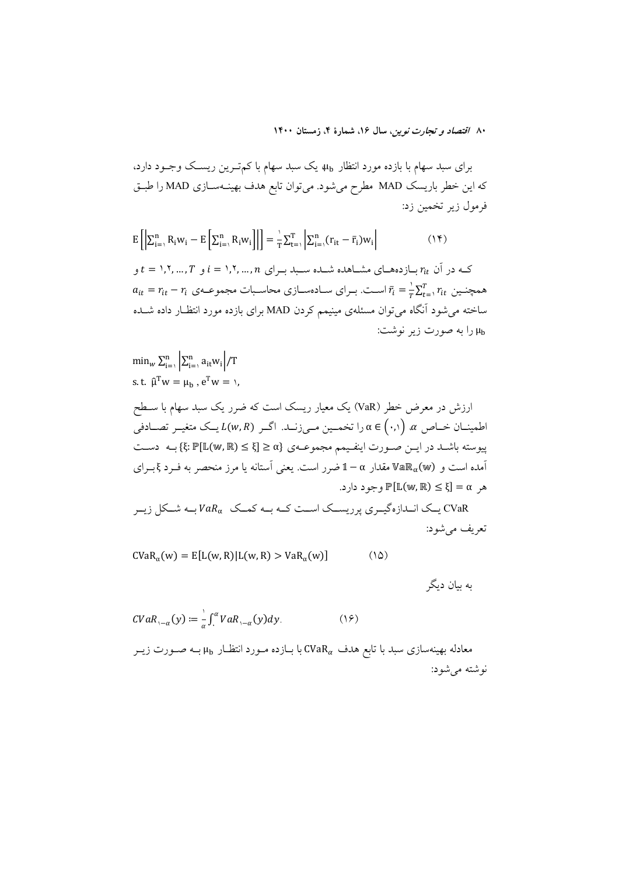برای سبد سهام با بازده مورد انتظار µ<sub>b،</sub> یک سبد سهام با کم تـرین ریسـک وجـود دارد، که این خطر باریسک MAD مطرح می شود. می توان تابع هدف بهینـهسـازی MAD را طبـق فرمول زير تخمين زد:

 $E\left[\left|\sum_{i=1}^n R_i w_i - E\left[\sum_{i=1}^n R_i w_i\right]\right|\right] = \frac{1}{T} \sum_{t=1}^T \left|\sum_{i=1}^n (r_{it} - \bar{r}_i) w_i\right|$  $(1)$ 

ی در آن  $r_{it}$  بسازدههسای مشساهده شسده سسبد بسرای  $i = 1, 1, ..., T$ و  $t = 1, ..., T$ و  $r_{it}$  $a_{it} = r_{it} - r_i$  همچنــبن  $r_{it} = \overline{r}_i = \overline{r}_i$  اســت. بــرای ســادهسـازی محاســبات مجموعــهی  $r_{it}$ ساخته می شود آنگاه می توان مسئلهی مینیمم کردن MAD برای بازده مورد انتظـار داده شــده را به صورت زير نوشت:

 $\min_{w} \sum_{i=1}^{n} \left| \sum_{i=1}^{n} a_{it} w_i \right| / T$ s.t.  $\hat{\mu}^T w = \mu_h$ ,  $e^T w = \lambda$ , ارزش در معرض خطر (VaR) یک معیار ریسک است که ضرر یک سبد سهام با ســطح اطمینــان خــاص  $\alpha$   $\alpha$  (۰٫۱) انخمــین مــ زنــد. اگــر (L(w,R) یــک متغیــر تصــادفی پیوسته باشـد در ایــن صـورت اینفـیمم مجموعــهي {8 ≤ [E (w, R)} بـه دسـت آمده است و  $\mathbb{R}_{\alpha}$ هالا مقدار  $\alpha-1$ ضرر است. یعنی اَستانه یا مرز منحصر به فـرد ؟بـرای  $\epsilon \in \mathbb{F}$  (My, R)  $\leq \xi$  =  $\alpha$  , as

.<br>CVaR یــک انــدازهگیــری پرریســک اســت کــه بــه کمــک VaRسبـه شــکل زیــر تعريف مي شود:

 $CVaR_{\alpha}(w) = E[L(w, R)]L(w, R) > VaR_{\alpha}(w)$  $(10)$ 

به بیان دیگر

$$
CVaR_{1-\alpha}(y) := \frac{1}{\alpha} \int_{1}^{\alpha} VaR_{1-\alpha}(y) dy.
$$
 (19)

با بازده مـورد انتظـار با به محمد با تابع هدف مـورد انتظـار با بــه صـورت زيــر CVaR $_{\alpha}$  مـدورت زيــر نوشته مي شود: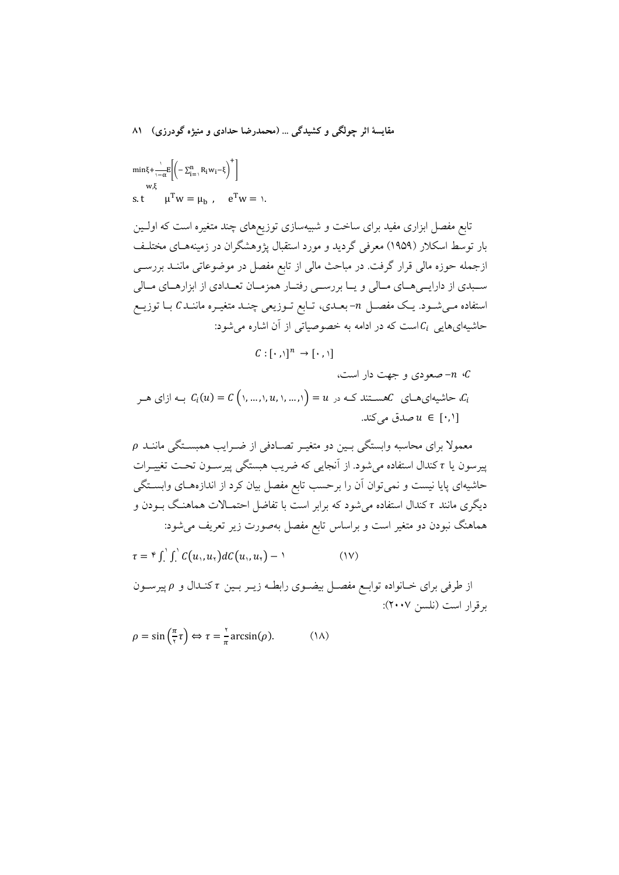$$
\begin{aligned} &\text{min}\xi+\frac{\cdot}{\cdot-\alpha}\mathbb{E}\bigg[\bigg(-\Sigma_{i=1}^n\,R_iw_i-\xi\bigg)^+\bigg]\\ &\text{s.t} \qquad \mu^Tw=\mu_b\ ,\quad e^Tw=\ \text{).}\end{aligned}
$$

تابع مفصل ابزاری مفید برای ساخت و شبیهسازی توزیعهای چند متغیره است که اولـین بار توسط اسکلار (۱۹۵۹) معرفی گردید و مورد استقبال یژوهشگران در زمینههـای مختلـف ازجمله حوزه مالی قرار گرفت. در مباحث مالی از تابع مفصل در موضوعاتی ماننـد بررســی سـبدي از دارايــيهــاي مــالي و يــا بررســي رفتــار همزمــان تعــدادي از ابزارهــاي مــالي استفاده مـیشـود. یـک مفصـل n-بعـدی، تـابع تـوزیعی چنـد متغیـره ماننـد C بـا توزیـع حاشیهای هایی  $C_i$ است که در ادامه به خصوصیاتی از آن اشاره می شود:

 $C: [\cdot, \cdot]^n \rightarrow [\cdot, \cdot]$ 

معمولاً برای محاسبه وابستگی بـین دو متغیـر تصـادفی از ضـرایب همبســتگی ماننــد p پیرسون یا <del>r</del> کندال استفاده می شود. از آنجایی که ضریب هبستگی پیرسـون تحـت تغییـرات حاشیهای پایا نیست و نمی توان آن را برحسب تابع مفصل بیان کرد از اندازههـای وابســتگی دیگری مانند <del>r</del> کندال استفاده می شود که برابر است با تفاضل احتمــالات هماهنـگ بــودن و هماهنگ نبودن دو متغیر است و براساس تابع مفصل بهصورت زیر تعریف میشود:

 $\tau = \int \int' \int' C(u_1, u_2) dC(u_1, u_2) - \lambda$  $(1V)$ 

از طرفی برای خــانواده توابــع مفصــل بیضــوی رابطــه زیــر بــین  $\tau$  کنــدال و  $\rho$ پیرســون برقرار است (نلسن ۲۰۰۷):

$$
\rho = \sin\left(\frac{\pi}{\tau}\tau\right) \Leftrightarrow \tau = \frac{\tau}{\pi} \arcsin(\rho). \tag{1A}
$$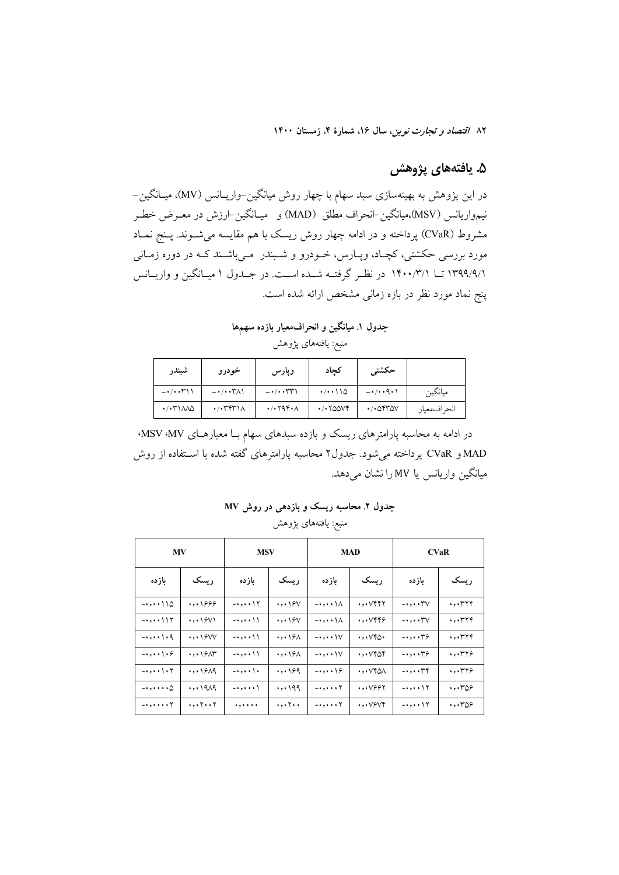### ۵. يافتههاى پژوهش

در این پژوهش به بهینهسازی سبد سهام با چهار روش میانگین–واریــانس (MV)، میــانگین– نيمواريانس (MSV)،ميانگين⊣نحراف مطلق (MAD) و ميـانگين⊣رزش در معـرض خطـر مشروط (CVaR) پرداخته و در ادامه چهار روش ریسک با هم مقایسه میشــوند. پــنج نمــاد مورد بررسی حکشتی، کچـاد، وپــارس، خــودرو و شــبندر مــیباشــند کــه در دوره زمــانی ۱۳۹۹/۹/۱ تــا ۱۴۰۰/۳/۱ در نظـر گرفتــه شــده اســت. در جــدول ۱ میــانگین و واریــانس پنج نماد مورد نظر در بازه زمانی مشخص ارائه شده است.

جدول ۱. میانگین و انحرافمعیار بازده سهمها

منبع: يافتههاى پژوهش

| شبندر                                                 | خودرو                               | وپارس                                                 | كحاد                                                         | حكشتى                                             |             |
|-------------------------------------------------------|-------------------------------------|-------------------------------------------------------|--------------------------------------------------------------|---------------------------------------------------|-------------|
| $ \cdot$ $/$ $\cdot$ $\uparrow$ $\uparrow$ $\uparrow$ | $-\cdot/\cdot\cdot\tau\wedge\wedge$ | $ \cdot$ $/$ $\cdot$ $\uparrow$ $\uparrow$ $\uparrow$ | (1.110)                                                      | $-\cdot/\cdot\cdot9\cdot1$                        | مبانگين     |
| $\cdot$ $\cdot$ ۳۱۸۸۵                                 | $\cdot$ / $\cdot$ ۳۴۳۱۸             | $\cdot$ / $\cdot$ $\cdot$ $\wedge$                    | $\cdot$ / $\cdot$ $\uparrow$ $\triangle$ $\wedge$ $\uparrow$ | $\cdot$ / $\cdot$ $\circ$ $\cdot$ $\circ$ $\circ$ | انحرافمعيار |

در ادامه به محاسبه پارامترهای ریسک و بازده سبدهای سهام بــا معیارهــای MSV ،MV، MAD و CVaR پرداخته میشود. جدول۲ محاسبه پارامترهای گفته شده با اســتفاده از روش میانگین واریانس یا MV را نشان می دهد.

جدول ۲. محاسبه ریسک و بازده<sub>ی</sub> در روش MV منبع: يافتههاى پژوهش

| <b>MV</b>                                    |          | <b>MSV</b>                                |                                            |                                | <b>MAD</b>                                 |                            | <b>CVaR</b>           |
|----------------------------------------------|----------|-------------------------------------------|--------------------------------------------|--------------------------------|--------------------------------------------|----------------------------|-----------------------|
| باز ده                                       | , سىك    | بازده                                     | , ىسك                                      | بازده                          | , ىسك                                      | باز ده                     | , ىسك                 |
| $- \cdot \cdot \cdot \cdot \setminus \Delta$ | $\cdots$ | $ \cdots$ \ $\Upsilon$                    | $\cdots$                                   | $-\cdot$ , $\cdot$ \ $\wedge$  | $\cdot$ , $\cdot$ $\vee$ ۴۲                | $-$ ., $\forall$ $\lor$    | $\cdot$ , $\cdot$ ۳۲۴ |
| $ \cdots$ $\frac{1}{1}$                      | $\cdots$ | -•,••\\                                   | $\cdots$                                   | -•,••\∧                        | $\cdot$ , $\cdot$ $\vee$ ۴۴۶               | $\mathbin{\cdots}$         | $\cdot$ , $\cdot$ ۳۲۴ |
|                                              | $\cdots$ | $- \cdot \cdot \cdot \setminus \setminus$ | $\cdot$ , $\cdot$ $\cdot$ $\circ$ $\wedge$ | $-$ ., $\vee$                  | $\cdot$ , $\cdot$ $\vee$ ۴ $\wedge$        | $, \cdot \tau$             | $\cdot$ , $\cdot$ ۳۲۴ |
| $\leftarrow \cdot \cdot \cdot \cdot$         | $\cdots$ | $- \cdot \cdot \cdot \setminus \setminus$ | $\cdots$                                   | $-$ ., $\vee$                  | $\cdot$ , $\cdot$ $\vee$ ۴۵۴               | $, \cdot \tau$             | $\cdot$ , $\cdot$ ۳۲۶ |
| $-$ ., $\setminus$                           | $\cdots$ | - • • • • ۱ •                             | $\cdots$                                   | $\cdots$                       | $\cdot$ , $\cdot$ $\vee$ $\circ$ $\wedge$  | $- \cdot \cdot \cdot \tau$ | $\cdot$ , $\cdot$ ۳۲۶ |
| - • • • • • • ۵                              | $\cdots$ | -•••••\                                   |                                            |                                | $\cdot$ , $\cdot$ $\vee$ $\circ$ $\circ$ ۲ | $-0.001$                   | ۰٫۰۳۵۶                |
| $ \cdots$ $\cdots$ $\uparrow$                | ۰,۰۲۰۰۲  | .                                         | ۰,۰۲۰۰                                     | $\rightarrow$ , , , , $\gamma$ | $\cdot$ , $\cdot$ $\vee$ ۶ $\vee$ ۴        | - • • • • ۱۲               | ۰٫۰۳۵۶                |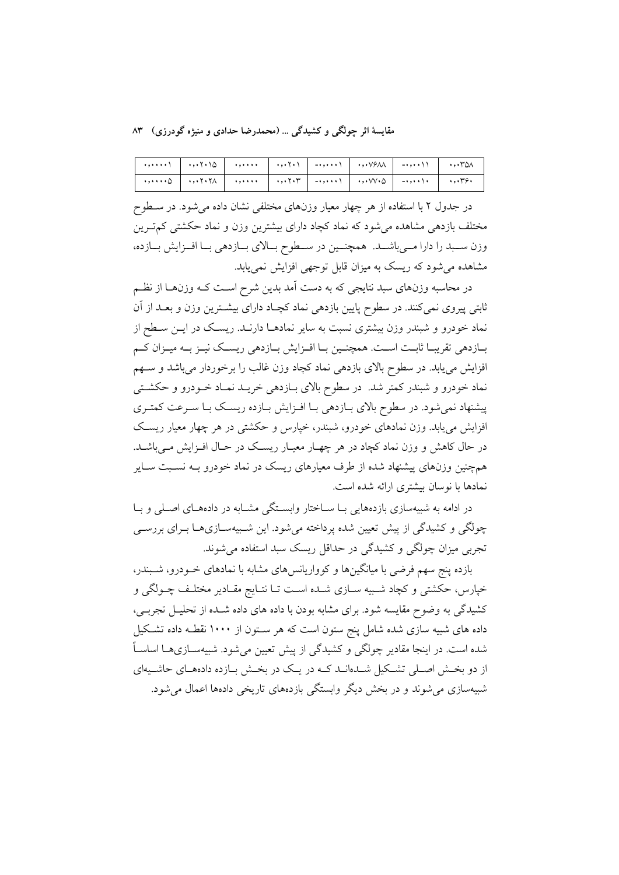مقایسهٔ اثر چولگی و کشیدگی … (محمدرضا حدادی و منیژه گودرزی) ۸۳

| ۰٫۰۰۰۰   ۰٫۰۰۲۰۱   ۰٫۰۰۰۰   ۰٫۰۰۰۰   ۰٫۰۰۰۰   ۰٫۰۰۰۰   ۰٫۰۰۲۰۸   ۰٫۰۰۲۰۸ |  |  |  |  |
|--------------------------------------------------------------------------|--|--|--|--|
|                                                                          |  |  |  |  |

در جدول ۲ با استفاده از هر چهار معیار وزنهای مختلفی نشان داده میشود. در سـطوح مختلف بازدهی مشاهده می شود که نماد کچاد دارای بیشترین وزن و نماد حکشتی کم تـرین وزن سـبد را دارا مـيباشــد. همچنــين در سـطوح بـالاي بــازدهي بـا افــزايش بــازده، مشاهده می شود که ریسک به میزان قابل توجهی افزایش نمی یابد.

در محاسبه وزنهای سبد نتایجی که به دست آمد بدین شرح اسـت کــه وزنهــا از نظــم ثابتی پیروی نمیکنند. در سطوح پایین بازدهی نماد کچـاد دارای بیشـترین وزن و بعــد از آن نماد خودرو و شبندر وزن بیشتری نسبت به سایر نمادهـا دارنـد. ریسـک در ایــن سـطح از بـازدهی تقریبـا ثابـت اسـت. همچنـین بـا افـزایش بـازدهی ریسـک نیـز بـه میـزان کـم افزایش می یابد. در سطوح بالای بازدهی نماد کچاد وزن غالب را برخوردار میباشد و سبهم نماد خودرو و شبندر کمتر شد. در سطوح بالای بـازدهی خریــد نمـاد خــودرو و حکشــتی پیشنهاد نمیشود. در سطوح بالای بـازدهی بـا افـزایش بـازده ریسـک بـا سـرعت کمتـری افزایش می یابد. وزن نمادهای خودرو، شبندر، خیارس و حکشتی در هر چهار معیار ریسک در حال کاهش و وزن نماد کچاد در هر چهـار معیـار ریسـک در حـال افــزایش مــیباشــد. همچنین وزنهای پیشنهاد شده از طرف معیارهای ریسک در نماد خودرو بـه نسـبت سـایر نمادها با نوسان بیشتری ارائه شده است.

در ادامه به شبیهسازی بازدههایی بـا ســاختار وابســتگی مشــابه در دادههــای اصــلی و بــا چولگی و کشیدگی از پیش تعیین شده پرداخته می شود. این شـبیهســازیهــا بــرای بررســی تجربی میزان چولگی و کشیدگی در حداقل ریسک سبد استفاده می شوند.

بازده پنج سهم فرضی با میانگینها و کوواریانسهای مشابه با نمادهای خـودرو، شـبندر، خپارس، حکشتی و کچاد شـبیه سـازی شـده اسـت تـا نتـایج مقـادیر مختلـف چــولگی و کشیدگی به وضوح مقایسه شود. برای مشابه بودن با داده های داده شــده از تحلیـل تجربــی، داده های شبیه سازی شده شامل پنج ستون است که هر سـتون از ۱۰۰۰ نقطـه داده تشـکیل شده است. در اینجا مقادیر چولگی و کشیدگی از پیش تعیین می شود. شبیهســازیهــا اساســاً از دو بخش اصلی تشکیل شدهاند کـه در یـک در بخـش بـازده دادههـای حاشـیهای شبیهسازی می شوند و در بخش دیگر وابستگی بازدههای تاریخی دادهها اعمال می شود.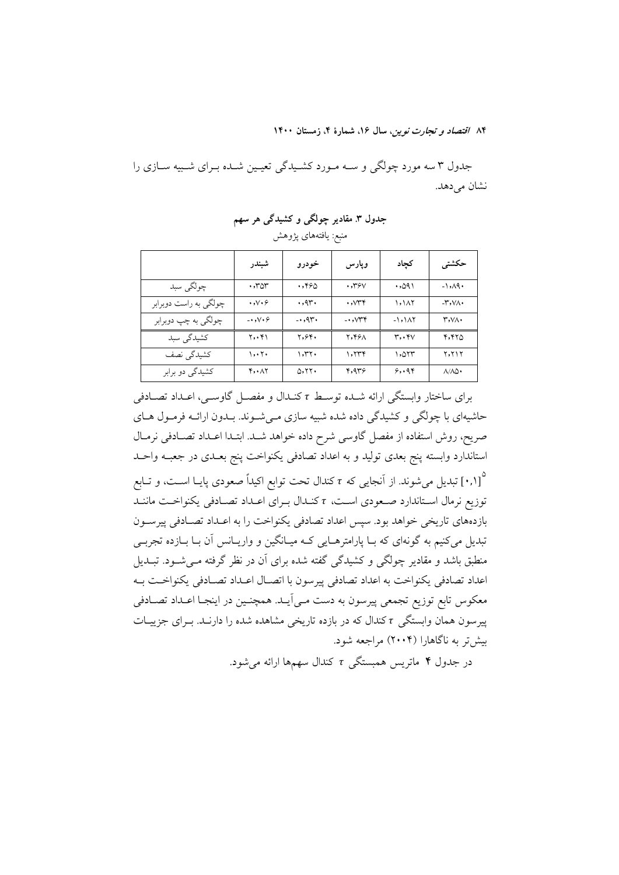جدول ۳ سه مورد چولگی و سـه مـورد كشـيدگی تعيـين شـده بـراي شـبيه سـازي را نشان می دهد.

جدول ۳. مقادیر چولگی و کشیدگی هر سهم

منبع: يافتههاي پژوهش

|                       | شبندر                            | خودرو        | وپارس                            | كجاد     | حكشتى                                   |
|-----------------------|----------------------------------|--------------|----------------------------------|----------|-----------------------------------------|
| چولگي سېد             | $\cdot$ , ۳۵۳                    | .790         | $\cdot$ , ۳۶ $\vee$              | ۱۹۵۰.    | $-1, A9$                                |
| چولگي به راست دوبرابر | $\cdot$ , $\vee$ $\cdot$ $\circ$ | .94.         | $\cdot$ , $\vee\uparrow\uparrow$ | ۱,۱۸۲    | $-\mathsf{r}\cdot\mathsf{v}\wedge\cdot$ |
| چولگي به چپ دوبرابر   | $-0.009$                         | $\ldots$ 95. | $\rightarrow$ $\vee$             | $-1,101$ | $r, v \wedge \cdot$                     |
| کشیدگی سبد            | ۲٫۰۴۱                            | ۲,۶۴۰        | ۲,۴۶۸                            | r, r     | 4.410                                   |
| کشیدگی نصف            | ۱,۰۲۰                            | ۱,۳۲۰        | 1.779                            | ۱,۵۲۳    | <b>7,717</b>                            |
| کشیدگی دو برابر       | 4.17                             | 0.11.        | ۴٫۹۳۶                            | 5.48     | $\land/\land\Diamond$                   |

برای ساختار وابستگی ارائه شـده توسـط r کنـدال و مفصـل گاوسـی، اعـداد تصـادفی حاشیهای با چولگی و کشیدگی داده شده شبیه سازی می شوند. بـدون ارائـه فرمـول هـای صریح، روش استفاده از مفصل گاوسی شرح داده خواهد شــد. ابتــدا اعــداد تصــادفی نرمــال استاندارد وابسته پنج بعدی تولید و به اعداد تصادفی یکنواخت پنج بعــدی در جعبــه واحــد ۰٫۱] تبدیل میشوند. از آنجایی که r کندال تحت توابع اکیداً صعودی پایـا اسـت، و تــابع $\left(\cdot,\cdot\right)^{\circ}$ توزيع نرمال استاندارد صعودي است، r كنـدال بـراي اعـداد تصـادفي يكنواخـت ماننـد بازدههای تاریخی خواهد بود. سپس اعداد تصادفی یکنواخت را به اعـداد تصـادفی پیرســون تبدیل میکنیم به گونهای که بـا پارامترهـایی کـه میـانگین و واریـانس آن بـا بـازده تجربــی منطبق باشد و مقادیر چولگی و کشیدگی گفته شده برای آن در نظر گرفته مـیشـود. تبــدیل اعداد تصادفي يكنواخت به اعداد تصادفي پيرسون با اتصــال اعــداد تصــادفي يكنواخــت بــه معکوس تابع توزیع تجمعی پیرسون به دست مـی]یــد. همچنــین در اینجــا اعــداد تصــادفی پیرسون همان وابستگی r کندال که در بازده تاریخی مشاهده شده را دارنـد. بـرای جزییـات بیش تر به ناگاهارا (۲۰۰۴) مراجعه شود.

در جدول ۴ ماتریس همبستگی  $\tau$  کندال سهمها ارائه میشود.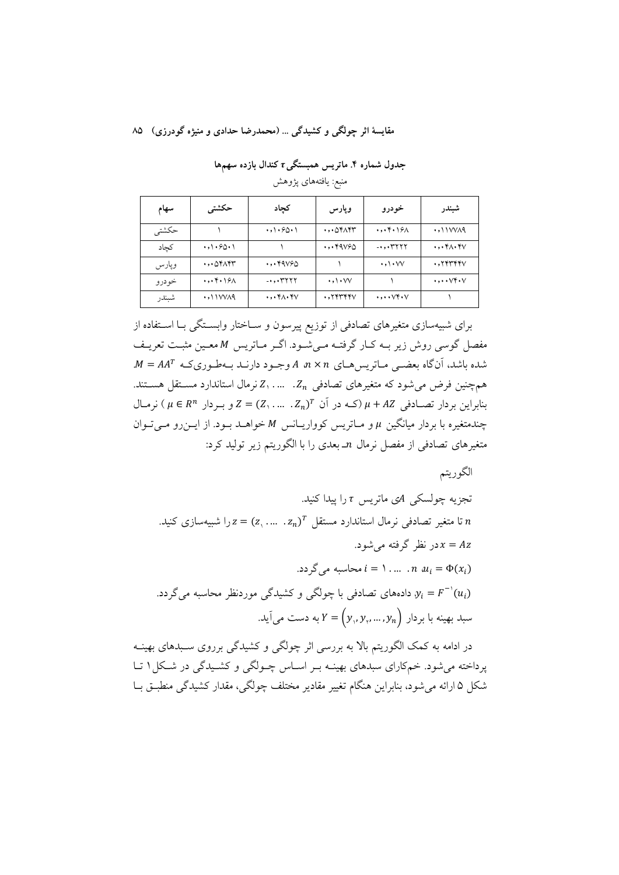#### مقايسهٔ اثر چولگي و کشيدگي ... (محمدرضا حدادي و منيژه گودرزي) ۸۵

جدول شماره ۴. ماتریس همبستگی $\tau$  کندال بازده سهمها منبع: يافتههاي يژوهش

| سهام  | حكشتى                                                     | كجاد                                          | وپارس                                         | خودرو                                   | شبندر                                                     |
|-------|-----------------------------------------------------------|-----------------------------------------------|-----------------------------------------------|-----------------------------------------|-----------------------------------------------------------|
| حكشتى |                                                           | $\cdot$ ,\ $\cdot$ 6 $\cdot$ \                | $\cdot$ , $\cdot$ $\circ$ ۴ $\wedge$ ۴۳       | $\cdot$ , $\cdot$ ۴ $\cdot$ ۱۶ $\wedge$ | $\cdot$ , $\cdot$ $\cdot$ $\vee$ $\vee$ $\wedge$ $\wedge$ |
| كجاد  | $\cdot$ , $\cdot$ $\cdot$ $\cdot$ $\cdot$ $\cdot$         |                                               | $\cdot$ , $\cdot$ $4\sqrt{2}$                 | $-$ .,.37777                            | $\cdot$ , $\cdot$ ۴ $\wedge$ $\cdot$ ۴ $\vee$             |
| وپارس | $\cdot$ , $\cdot$ $\circ$ ۴ $\wedge$ ۴۳                   | $\cdot$ , $\cdot$ $9090$                      |                                               | $\cdot$ ,\ $\cdot$ $\vee\vee$           | $\cdot$ , $\gamma$ $\gamma$ $\gamma$ $\gamma$             |
| خودرو | $\cdot$ , $\cdot$ ۴ $\cdot$ ۱۶ $\wedge$                   | $,$ $*$ $*$ $*$ $*$ $*$ $*$                   | $\cdot$ ,\ $\cdot$ $\vee\vee$                 |                                         | $\cdots$ $\vee$ $\cdots$                                  |
| شبندر | $\cdot$ , $\cdot$ $\cdot$ $\vee$ $\vee$ $\wedge$ $\wedge$ | $\cdot$ , $\cdot$ ۴ $\wedge$ $\cdot$ ۴ $\vee$ | $\cdot$ , $\gamma$ $\gamma$ $\gamma$ $\gamma$ | $\cdots$ $\vee$ $\cdots$                |                                                           |

برای شبیهسازی متغیرهای تصادفی از توزیع پیرسون و سـاختار وابسـتگی بـا اسـتفاده از مفصل گوسی روش زیر بـه کـار گرفتـه مـیشـود. اگـر مـاتریس M معـین مثبـت تعریـف  $M = AA^T$  شده باشد، آنگاه بعضـی مـاتریس هـای  $n \times n$  وجـود دارنـد بـهطـوریکـه  $A^T$ . همچنین فرض می شود که متغیرهای تصادفی  $Z_n$ . … ... , Z نرمال استاندارد مسـتقل هسـتند.  $\mu + AZ$  بنابراین بردار  $\mu \in R^n$  (ک $\mu + AZ$  (ک $\mu \in Z$ , ... . ...) = 2 و بـردار  $\mu \in R^n$ ) نرمـال  $\mu$  چندمتغیره با بردار میانگین  $\mu$  و مـاتریس کوواریـانس M خواهـد بـود. از ایـنرو مـی تـوان متغیرهای تصادفی از مفصل نرمال nـ بعدی را با الگوریتم زیر تولید کرد:

الگوريتم تجزیه چولسکی Aی ماتریس r را ییدا کنید. تا متغیر تصادفی نرمال استاندارد مستقل  $z_n$ ( $z_1, ..., z_n = z$ را شیبهسازی کنید. در نظر گرفته می شود.  $x = Az$  $i = 1, ..., n$  and  $u_i = \Phi(x_i)$ دادههای تصادفی با چولگی و کشیدگی موردنظر محاسبه میگردد.  $y_i = F^{-1}(u_i)$ سبد بهینه با بردار  $Y=(y_{\scriptscriptstyle\backslash},y_{\scriptscriptstyle\gamma},...,y_n)$  به دست می اَید.

در ادامه به کمک الگوریتم بالا به بررسی اثر چولگی و کشیدگی برروی سـبدهای بهینــه یرداخته می شود. خم کارای سبدهای بهینـه بـر اسـاس چـولگی و کشـیدگی در شـکل ۱ تـا شکل ۵ ارائه می شود، بنابراین هنگام تغییر مقادیر مختلف چولگی، مقدار کشیدگی منطبــق بــا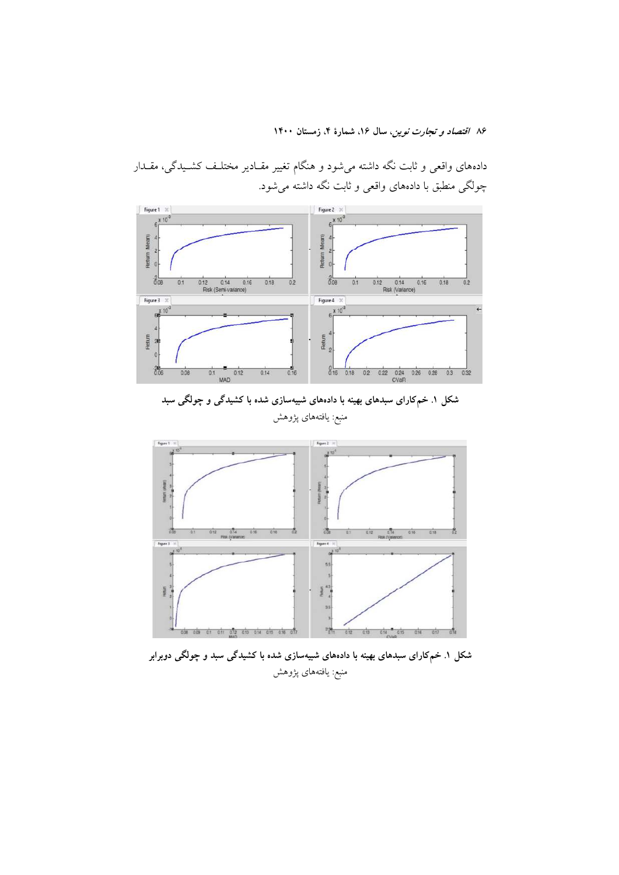

دادههای واقعی و ثابت نگه داشته میشود و هنگام تغییر مقـادیر مختلـف کشـیدگی، مقـدار چولگی منطبق با دادههای واقعی و ثابت نگه داشته می شود.





شکل ۱. خمکارای سبدهای بهینه با دادههای شبیهسازی شده با کشیدگی سبد و چولگی دوبرابر منبع: يافتههاى پژوهش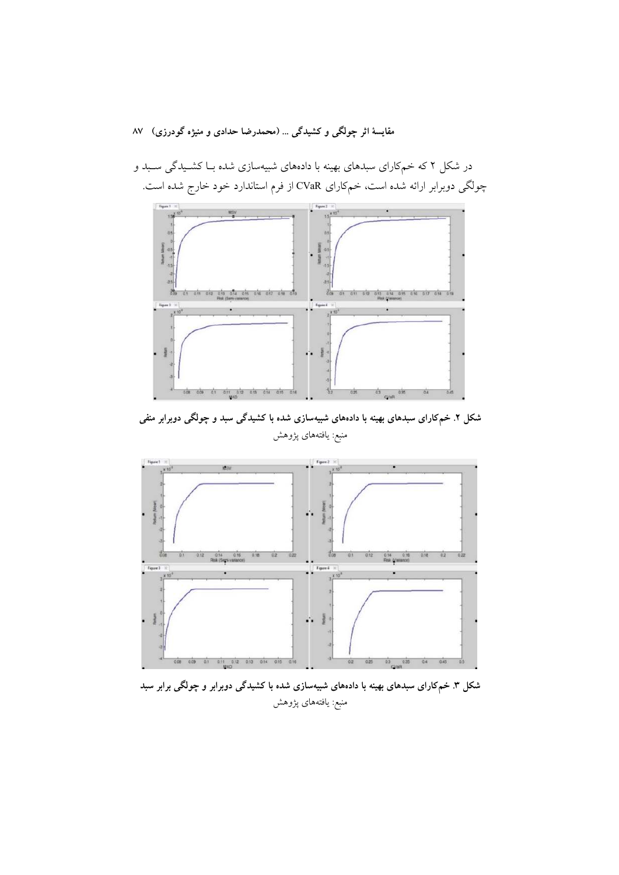در شکل ۲ که خمکارای سبدهای بهینه با دادههای شبیهسازی شده بــا کشــیدگی ســبد و چولگی دوبرابر ارائه شده است، خمکارای CVaR از فرم استاندارد خود خارج شده است.



شکل ۲. خمکارای سبدهای بهینه با دادههای شبیهسازی شده با کشیدگی سبد و چولگی دوبرابر منفی منبع: یافتههای پژوهش



شکل ۳. خمکارای سبدهای بهینه با دادههای شبیهسازی شده با کشیدگی دوبرابر و چولگی برابر سبد منبع: يافتههاي پژوهش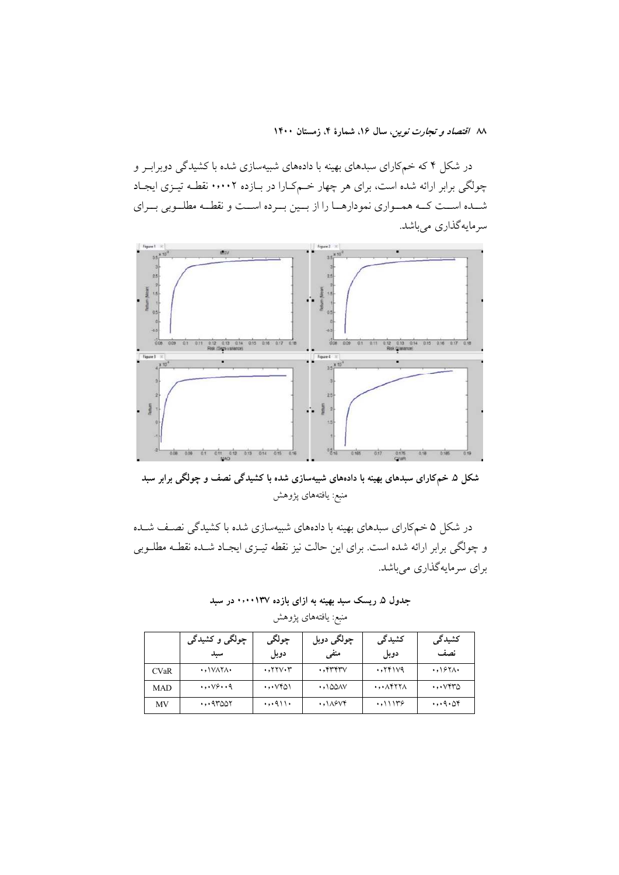در شکل ۴ که خمکارای سبدهای بهینه با دادههای شبیهسازی شده با کشیدگی دوبرابـر و چولگی برابر ارائه شده است، برای هر چهار خـمکـارا در بــازده ۰٬۰۰۲ نقطـه تیــزی ایجــاد شـــده اســـت كـــه همـــواري نمودارهـــا را از بـــين بـــرده اســـت و نقطـــه مطلـــوبي بـــراي سرمايەگذارى مىباشد.



شکل ۵. خمکارای سبدهای بهینه با دادههای شبیهسازی شده با کشیدگی نصف و چولگی برابر سبد منبع: يافتههاى پژوهش

در شکل ۵ خمکارای سبدهای بهینه با دادههای شبیهسازی شده با کشیدگی نصـف شــده و چولگی برابر ارائه شده است. برای این حالت نیز نقطه تیــزی ایجــاد شــده نقطــه مطلــوبی برای سرمایهگذاری میباشد.

جدول ۵. ریسک سبد بهینه به ازای بازده **۱۳۷**۰۰۰۱۳۷ در سبد منبع: يافتههاى پژوهش

|             | چولگی و کشیدگی                             | چولگی                                                     | چولگ <i>ی</i> دوبل                         | کشیدگی                                  | کشیدگی                         |
|-------------|--------------------------------------------|-----------------------------------------------------------|--------------------------------------------|-----------------------------------------|--------------------------------|
|             | سيد                                        | دوبل                                                      | منفى                                       | دوبل                                    | نصف                            |
| <b>CVaR</b> | $\cdot$ , $\sqrt{X}$                       | $\cdot$ , $\mathsf{Y}\mathsf{Y}\mathsf{V}\cdot\mathsf{Y}$ | $\cdot$ , $\gamma\gamma\gamma\gamma\gamma$ | .7791V9                                 | .097                           |
| <b>MAD</b>  | $\cdot$ , $\cdot \vee \circ \cdot \cdot q$ | ۰٫۰۷۴۵۱                                                   | $\cdot$ , 100AV                            | $\cdot$ , $\cdot$ $\wedge$ ۴۲۲ $\wedge$ | $\cdots$ $\cdots$ $\cdots$     |
| MV          | $\cdots$ 9٣٥٥٢                             | $\cdot$ , $\cdot$ 911 $\cdot$                             | $\cdot$ , $\lambda$ ۶۷۴                    | .011179                                 | $\cdot$ , $\cdot$ 9 $\cdot$ ۵۴ |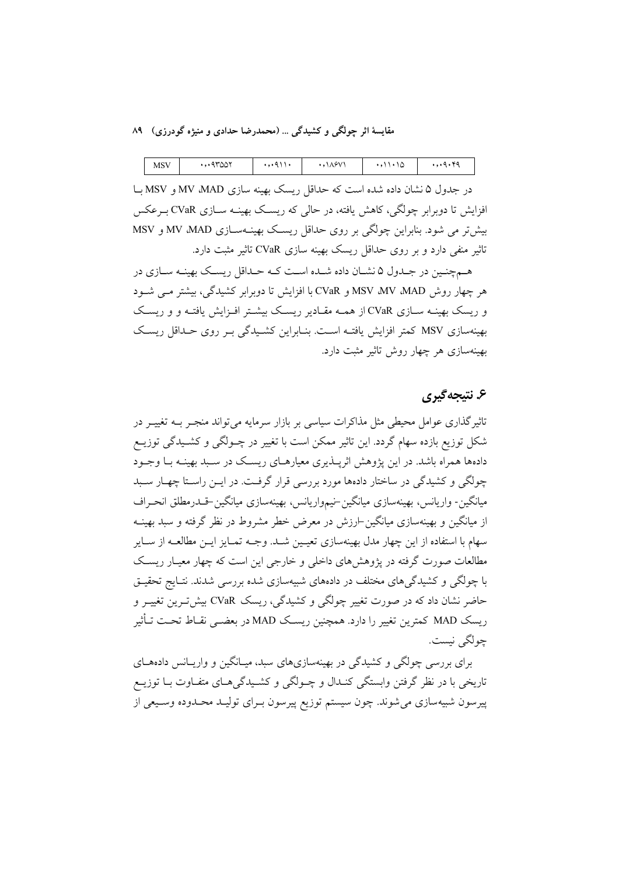| ۰۹۳۵۵۲<br>۸۶۷۱<br><b>MSV</b><br>$\sim$ |
|----------------------------------------|
|----------------------------------------|

در جدول ۵ نشان داده شده است که حداقل ریسک بهینه سازی MV ،MAD و MSV با افزایش تا دوبرابر چولگی، کاهش یافته، در حالبی که ریســک بهینــه ســازی CVaR بــرعکس بیش تر می شود. بنابراین چولگی بر روی حداقل ریسک بهینــهســازی MV ،MAD و MSV تاثیر منفی دارد و بر روی حداقل ریسک بهینه سازی CVaR تاثیر مثبت دارد.

هـمچنـین در جـدول ۵ نشــان داده شــده اسـت کــه حـداقل ریســک بهینــه ســازی در هر چهار روش MSV ،MV ،MAD و CVaR با افزایش تا دوبرایر کشیدگی، بیشتر می شیود و ریسک بهینــه ســازی CVaR از همــه مقــادیر ریســک بیشــتر افــزایش یافتــه و و ریســک بهینهسازی MSV کمتر افزایش یافتـه اسـت. بنـابراین کشـیدگی بـر روی حـداقل ریسـک بهینهسازی هر چهار روش تاثیر مثبت دارد.

#### ۶. نتيجه گيري

تاثیر گذاری عوامل محیطی مثل مذاکرات سیاسی بر بازار سرمایه می تواند منجـر بــه تغییــر در شکل توزیع بازده سهام گردد. این تاثیر ممکن است با تغییر در چــولگی و کشــیدگی توزیــع دادهها همراه باشد. در این یژوهش اثریــذیری معیارهــای ریســک در ســبد بهینــه بــا وجــود چولگی و کشیدگی در ساختار دادهها مورد بررسی قرار گرفت. در ایــن راسـتا چهــار ســبد میانگین- واریانس، بهینهسازی میانگین-نیمواریانس، بهینهسازی میانگین-قــدرمطلق انحــراف از میانگین و بهینهسازی میانگین ارزش در معرض خطر مشروط در نظر گرفته و سبد بهینــه سهام با استفاده از این چهار مدل بهینهسازی تعیـین شـد. وجــه تمـایز ایــن مطالعــه از ســایر مطالعات صورت گرفته در پژوهشهای داخلی و خارجی این است که چهار معیـار ریسـک با چولگی و کشیدگی های مختلف در دادههای شبیهسازی شده بررسی شدند. نتـایج تحقیــق حاضر نشان داد که در صورت تغییر چولگی و کشیدگی، ریسک CVaR بیش تـرین تغییــر و ريسك MAD كمترين تغيير را دارد. همچنين ريسك MAD در بعضـي نقــاط تحـت تــأثير جولگي نيست.

برای بررسی چولگی و کشیدگی در بهینهسازیهای سبد، میـانگین و واریـانس دادههـای تاریخی با در نظر گرفتن وابستگی کنـدال و چــولگی و کشــیدگیهــای متفــاوت بــا توزیــع پیرسون شبیهسازی میشوند. چون سیستم توزیع پیرسون بـرای تولیـد محـدوده وسـیعی از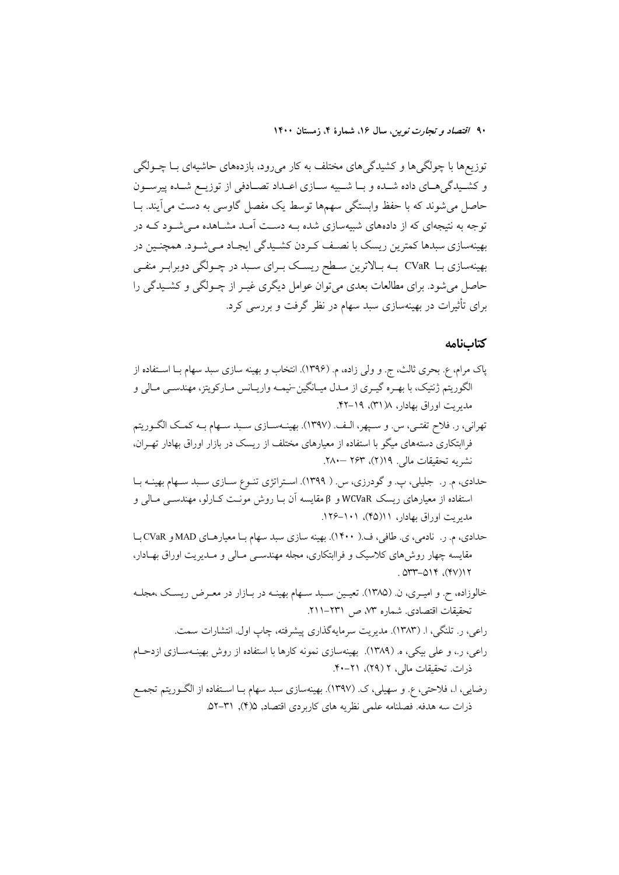توزیعها با چولگیها و کشیدگیهای مختلف به کار میرود، بازدههای حاشیهای بـا چــولگی و كشيدگي هياي داده شيده و بيا شبيه سيازي اعتداد تصيادفي از توزييع شيده پيرسون حاصل می شوند که با حفظ وابستگی سهمها توسط یک مفصل گاوسی به دست می آیند. بــا توجه به نتیجهای که از دادههای شبیهسازی شده بـه دسـت آمـد مشـاهده مـی شـود کـه در بهینهسازی سبدها کمترین ریسک با نصـف کـردن کشـیدگی ایجـاد مـی شـود. همچنـین در بهینهسازی بـا CVaR بـه بـالاترین سـطح ریسـک بـرای سـبد در چـولگی دوبرابـر منفـی حاصل میشود. برای مطالعات بعدی می توان عوامل دیگری غیـر از چـولگی و کشـیدگی را برای تأثیرات در بهینهسازی سبد سهام در نظر گرفت و بررسی کرد.

#### كتابنامه

- پاک مرام، ع. بحری ثالث، ج. و ولی زاده، م. (۱۳۹۶). انتخاب و بهینه سازی سبد سهام بــا اســتفاده از الگوریتم ژنتیک، با بهـره گیـري از مـدل میـانگین-نیمـه واریـانس مـارکویتز، مهندسـي مـالي و مدیریت اوراق بهادار، ۱۸(۳۱)، ۱۹–۴۲.
- تهراني، ر. فلاح تفتـي، س. و سـيهر، الـف. (١٣٩٧). بهينــهســازي سـبد ســهام بــه كمــك الگــوريتم فراابتکاری دستههای میگو با استفاده از معیارهای مختلف از ریسک در بازار اوراق بهادار تهـران، نشريه تحقيقات مالي. ١٩(٢)، ٢۶٣ –٢٨٠.
- حدادي، م. ر. جليلي، پ. و گودرزي، س. ( ١٣٩٩). استراتژي تنـوع سـازي سـبد سـهام بهينــه بـا استفاده از معیارهای ریسک WCVaR و β مقایسه آن بـا روش مونـت کـارلو، مهندســی مـالی و مدیریت اوراق بهادار، ۱۱(۴۵)، ۱۰۱–۱۲۶.
- حدادي، م. ر. نادمي، ي. طافي، ف.( ١۴٠٠). بهينه سازي سبد سهام بـا معيارهـاي MAD و CVaR بـا مقایسه چهار روش های کلاسیک و فراابتکاری، مجله مهندسـی مـالی و مـدیریت اوراق بهـادار،  $.017 - 019$  (۴۷)) 1
- خالوزاده، ح. و اميـري، ن. (۱۳۸۵). تعيـين سـبد سـهام بهينــه در بــازار در معـرض ريسـك ،مجلــه تحقيقات اقتصادي. شماره ٧٣، ص ٢٣١١-٢١١.
- راعی، ر. تلنگی، ا. (۱۳۸۳). مدیریت سرمایهگذاری پیشرفته، چاپ اول. انتشارات سمت. راعی، ر.، و علی بیکی، ه. (۱۳۸۹). بهینهسازی نمونه کارها با استفاده از روش بهینـهسـازی ازدحـام ذرات. تحقیقات مالی، ۲ (۲۹)، ۲۱-۴۰.
- رضايي، ا.، فلاحتى، ع. و سهيلي، ک. (١٣٩٧). بهينهسازي سبد سهام بـا اسـتفاده از الگــوريتم تجمــع ذرات سه هدفه. فصلنامه علمي نظريه هاي كاربردي اقتصاد, ۵/(۴), ۳۱–۵۲.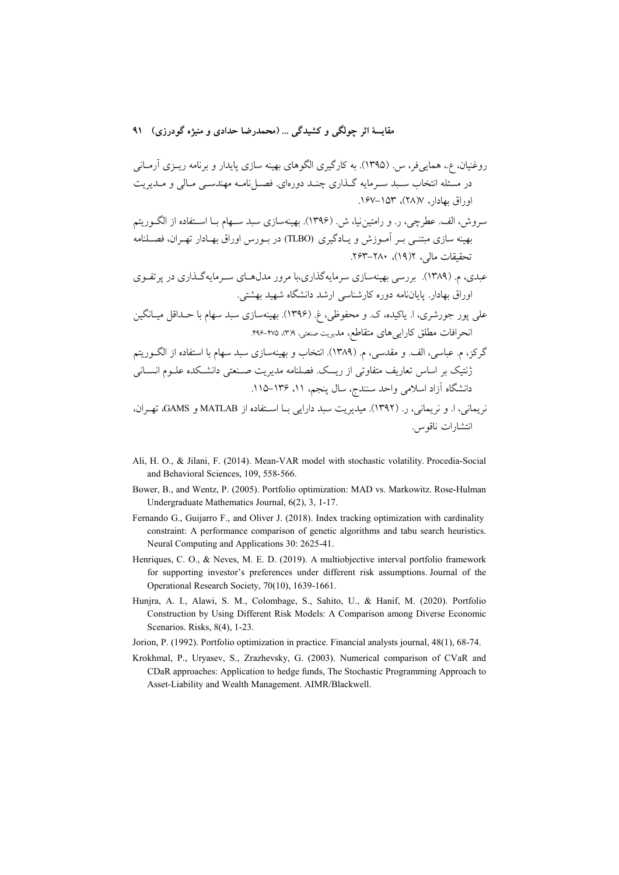- سروش، الف. عطرچی، ر. و رامتین نیا، ش ِ. (۱۳۹۶). بهینهسازی سبد سـهام بــا اســتفاده از الگــوریتم بهینه سازی مبتنـّـی بـر آمـوزش و یـادگیری (TLBO) در بـورس اوراق بهـادار تهـران، فصـلنامه تحقيقات مالي، ١(١٩)، ٢٠-٢۶٣.
- عبدی، م. (۱۳۸۹). بررسی بهینهسازی سرمایهگذاری،با مرور مدل،حای سـرمایهگـذاری در یرتفـوی اوراق بهادار. پایاننامه دوره کارشناسی ارشد دانشگاه شهید بهشتی.
- علي پور جورشري، ا. پاکيده، ک. و محفوظي، غ. (۱۳۹۶). بهينهسازي سبد سهام با حــداقل ميــانگين انحرافات مطلق كارايي هاي متقاطع، مديريت صنعتي، ٣١٩. ٣٧٥-٢٩٤.
- گرکز، م. عباسی، الف. و مقدسی، م. (۱۳۸۹). انتخاب و بهینهسازی سبد سهام با استفاده از الگـوریتم ژنتیک بر اساس تعاریف متفاوتی از ریسک. فصلنامه مدیریت صـنعتی دانشـکده علــوم انســانی دانشگاه آزاد اسلامی واحد سنندج، سال پنجم، ۱۱، ۱۳۶–۱۱۵.
- نريماني، ا. و نريماني، ر. (١٣٩٢). ميديريت سبد دارايي بـا اسـتفاده از MATLAB و GAMS، تهـران، انتشارات ناقوس.
- Ali, H. O., & Jilani, F. (2014). Mean-VAR model with stochastic volatility. Procedia-Social and Behavioral Sciences, 109, 558-566.
- Bower, B., and Wentz, P. (2005). Portfolio optimization: MAD vs. Markowitz. Rose-Hulman Undergraduate Mathematics Journal, 6(2), 3, 1-17.
- Fernando G., Guijarro F., and Oliver J. (2018). Index tracking optimization with cardinality constraint: A performance comparison of genetic algorithms and tabu search heuristics. Neural Computing and Applications 30: 2625-41.
- Henriques, C. O., & Neves, M. E. D. (2019). A multiobjective interval portfolio framework for supporting investor's preferences under different risk assumptions. Journal of the Operational Research Society, 70(10), 1639-1661.
- Hunjra, A. I., Alawi, S. M., Colombage, S., Sahito, U., & Hanif, M. (2020). Portfolio Construction by Using Different Risk Models: A Comparison among Diverse Economic Scenarios. Risks, 8(4), 1-23.
- Jorion, P. (1992). Portfolio optimization in practice. Financial analysts journal, 48(1), 68-74.
- Krokhmal, P., Uryasev, S., Zrazhevsky, G. (2003). Numerical comparison of CVaR and CDaR approaches: Application to hedge funds, The Stochastic Programming Approach to Asset-Liability and Wealth Management. AIMR/Blackwell.